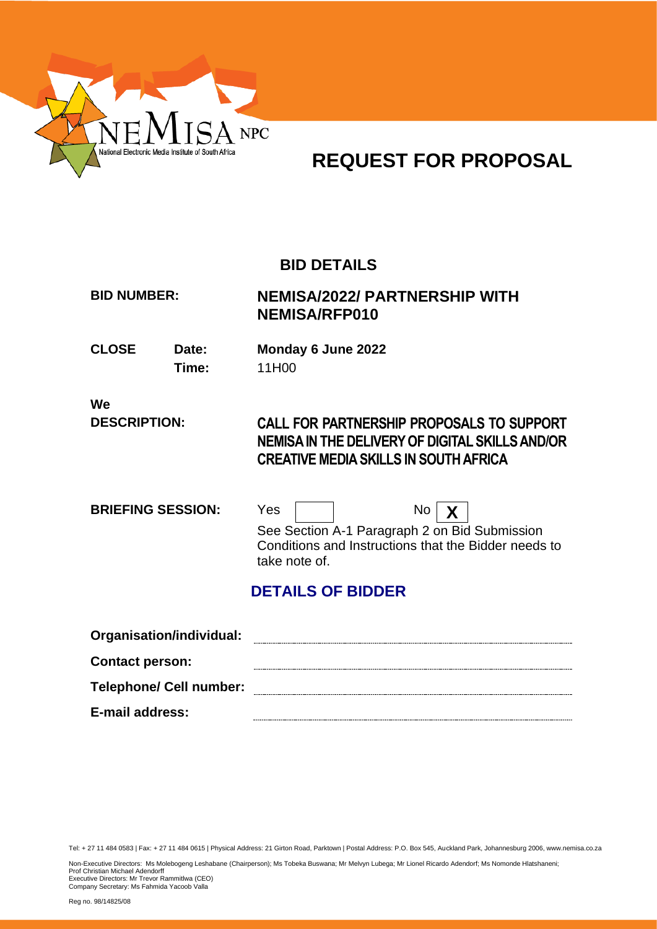

## **REQUEST FOR PROPOSAL**

## **BID DETAILS**

## **BID NUMBER: NEMISA/2022/ PARTNERSHIP WITH NEMISA/RFP010**

**CLOSE Date: Monday 6 June 2022 Time:** 11H00

**We**

## **DESCRIPTION: CALL FOR PARTNERSHIP PROPOSALS TO SUPPORT NEMISA IN THE DELIVERY OF DIGITAL SKILLS AND/OR CREATIVE MEDIA SKILLS IN SOUTH AFRICA**

| <b>BRIEFING SESSION:</b> | Yes           | $\mathsf{No} \mid \mathsf{X}$                                                                         |
|--------------------------|---------------|-------------------------------------------------------------------------------------------------------|
|                          | take note of. | See Section A-1 Paragraph 2 on Bid Submission<br>Conditions and Instructions that the Bidder needs to |

## **DETAILS OF BIDDER**

| Organisation/individual:       |  |
|--------------------------------|--|
| <b>Contact person:</b>         |  |
| <b>Telephone/ Cell number:</b> |  |
| E-mail address:                |  |

Tel: + 27 11 484 0583 | Fax: + 27 11 484 0615 | Physical Address: 21 Girton Road, Parktown | Postal Address: P.O. Box 545, Auckland Park, Johannesburg 2006, www.nemisa.co.za

Non-Executive Directors: Ms Molebogeng Leshabane (Chairperson); Ms Tobeka Buswana; Mr Melvyn Lubega; Mr Lionel Ricardo Adendorf; Ms Nomonde Hlatshaneni;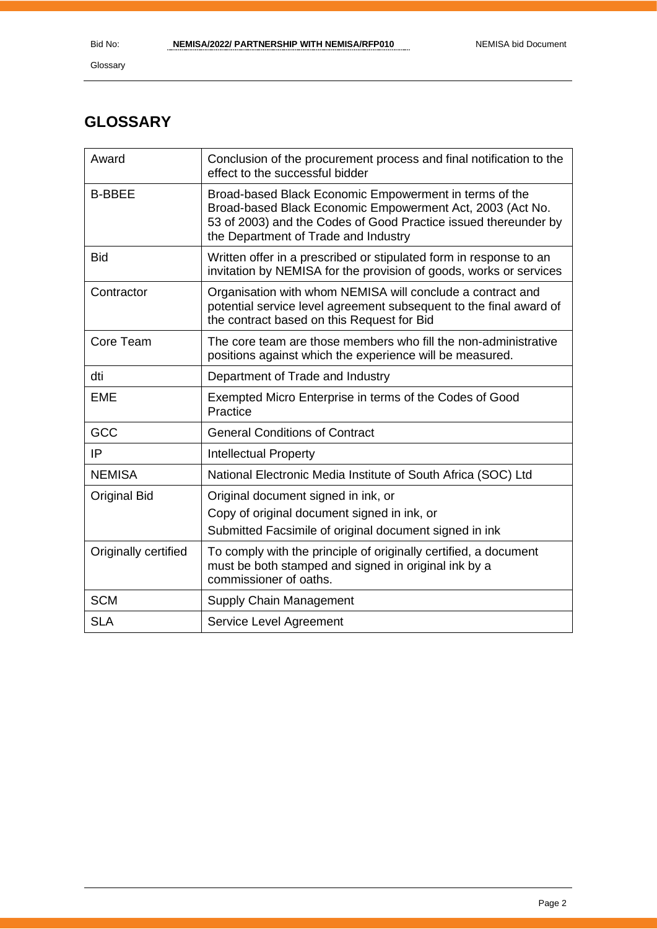## **GLOSSARY**

| Award                | Conclusion of the procurement process and final notification to the<br>effect to the successful bidder                                                                                                                         |
|----------------------|--------------------------------------------------------------------------------------------------------------------------------------------------------------------------------------------------------------------------------|
| <b>B-BBEE</b>        | Broad-based Black Economic Empowerment in terms of the<br>Broad-based Black Economic Empowerment Act, 2003 (Act No.<br>53 of 2003) and the Codes of Good Practice issued thereunder by<br>the Department of Trade and Industry |
| <b>Bid</b>           | Written offer in a prescribed or stipulated form in response to an<br>invitation by NEMISA for the provision of goods, works or services                                                                                       |
| Contractor           | Organisation with whom NEMISA will conclude a contract and<br>potential service level agreement subsequent to the final award of<br>the contract based on this Request for Bid                                                 |
| Core Team            | The core team are those members who fill the non-administrative<br>positions against which the experience will be measured.                                                                                                    |
| dti                  | Department of Trade and Industry                                                                                                                                                                                               |
| <b>EME</b>           | Exempted Micro Enterprise in terms of the Codes of Good<br>Practice                                                                                                                                                            |
| GCC                  | <b>General Conditions of Contract</b>                                                                                                                                                                                          |
| IP                   | <b>Intellectual Property</b>                                                                                                                                                                                                   |
| <b>NEMISA</b>        | National Electronic Media Institute of South Africa (SOC) Ltd                                                                                                                                                                  |
| <b>Original Bid</b>  | Original document signed in ink, or<br>Copy of original document signed in ink, or<br>Submitted Facsimile of original document signed in ink                                                                                   |
| Originally certified | To comply with the principle of originally certified, a document<br>must be both stamped and signed in original ink by a<br>commissioner of oaths.                                                                             |
| <b>SCM</b>           | Supply Chain Management                                                                                                                                                                                                        |
| <b>SLA</b>           | Service Level Agreement                                                                                                                                                                                                        |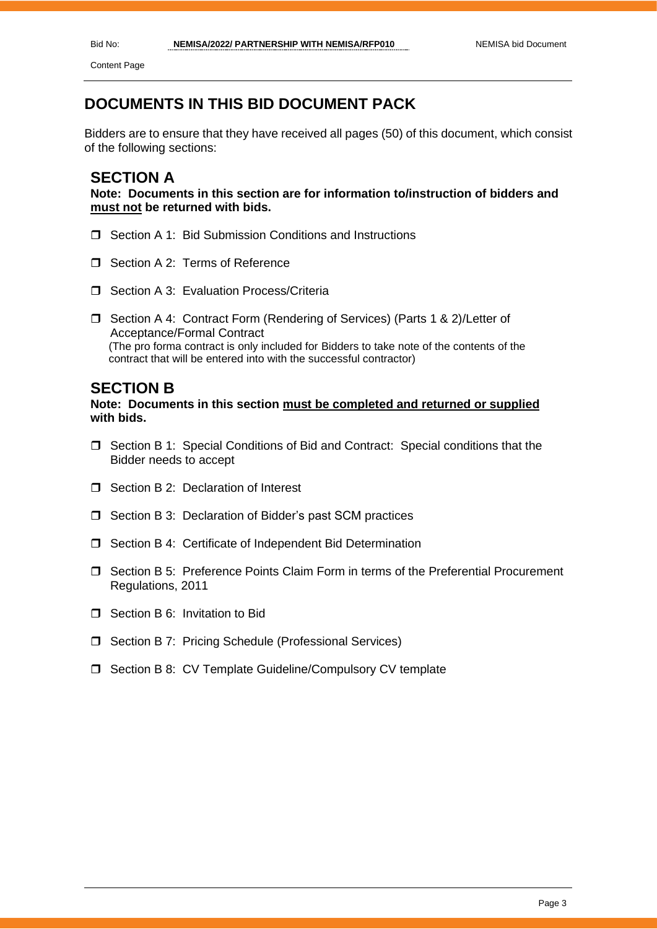Content Page

## **DOCUMENTS IN THIS BID DOCUMENT PACK**

Bidders are to ensure that they have received all pages (50) of this document, which consist of the following sections:

### **SECTION A**

**Note: Documents in this section are for information to/instruction of bidders and must not be returned with bids.**

- □ Section A 1: Bid Submission Conditions and Instructions
- Section A 2: Terms of Reference
- □ Section A 3: Evaluation Process/Criteria
- □ Section A 4: Contract Form (Rendering of Services) (Parts 1 & 2)/Letter of Acceptance/Formal Contract (The pro forma contract is only included for Bidders to take note of the contents of the contract that will be entered into with the successful contractor)

#### **SECTION B**

#### **Note: Documents in this section must be completed and returned or supplied with bids.**

- $\Box$  Section B 1: Special Conditions of Bid and Contract: Special conditions that the Bidder needs to accept
- $\Box$  Section B 2: Declaration of Interest
- □ Section B 3: Declaration of Bidder's past SCM practices
- □ Section B 4: Certificate of Independent Bid Determination
- $\Box$  Section B 5: Preference Points Claim Form in terms of the Preferential Procurement Regulations, 2011
- □ Section B 6: Invitation to Bid
- □ Section B 7: Pricing Schedule (Professional Services)
- □ Section B 8: CV Template Guideline/Compulsory CV template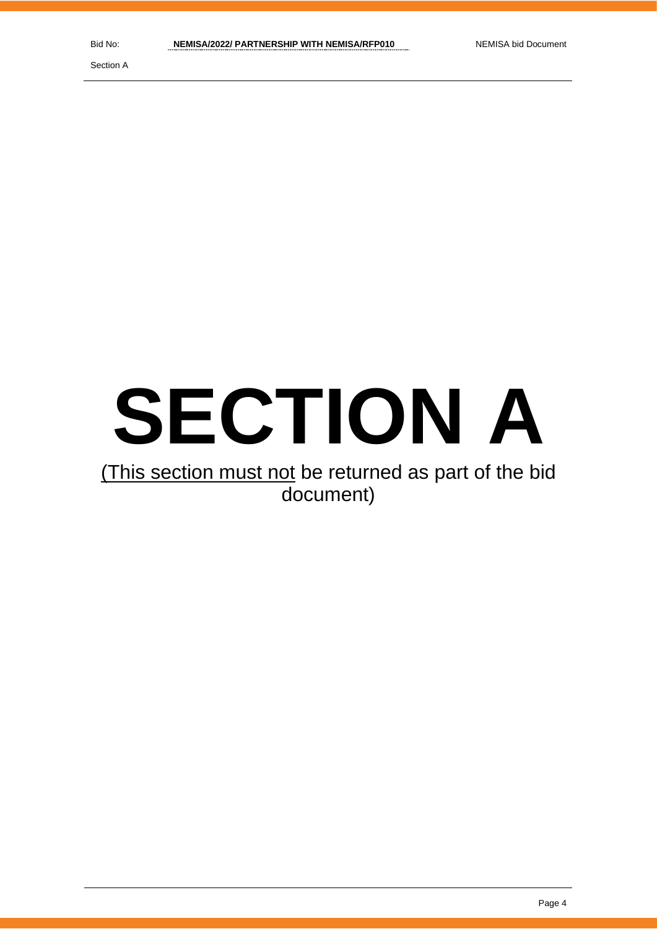Section A

# **SECTION A**

## (This section must not be returned as part of the bid document)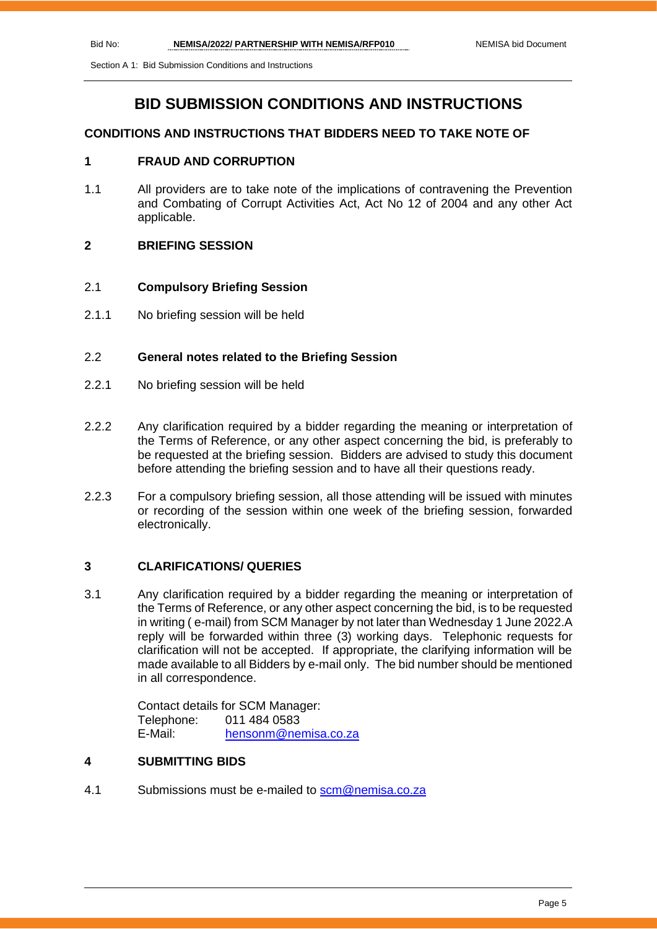### **BID SUBMISSION CONDITIONS AND INSTRUCTIONS**

#### **CONDITIONS AND INSTRUCTIONS THAT BIDDERS NEED TO TAKE NOTE OF**

#### **1 FRAUD AND CORRUPTION**

- 1.1 All providers are to take note of the implications of contravening the Prevention and Combating of Corrupt Activities Act, Act No 12 of 2004 and any other Act applicable.
- **2 BRIEFING SESSION**

#### 2.1 **Compulsory Briefing Session**

2.1.1 No briefing session will be held

#### 2.2 **General notes related to the Briefing Session**

- 2.2.1 No briefing session will be held
- 2.2.2 Any clarification required by a bidder regarding the meaning or interpretation of the Terms of Reference, or any other aspect concerning the bid, is preferably to be requested at the briefing session. Bidders are advised to study this document before attending the briefing session and to have all their questions ready.
- 2.2.3 For a compulsory briefing session, all those attending will be issued with minutes or recording of the session within one week of the briefing session, forwarded electronically.

#### **3 CLARIFICATIONS/ QUERIES**

3.1 Any clarification required by a bidder regarding the meaning or interpretation of the Terms of Reference, or any other aspect concerning the bid, is to be requested in writing ( e-mail) from SCM Manager by not later than Wednesday 1 June 2022.A reply will be forwarded within three (3) working days. Telephonic requests for clarification will not be accepted. If appropriate, the clarifying information will be made available to all Bidders by e-mail only. The bid number should be mentioned in all correspondence.

> Contact details for SCM Manager: Telephone: 011 484 0583 E-Mail: [hensonm@nemisa.co.za](mailto:hensonm@nemisa.co.za)

#### **4 SUBMITTING BIDS**

4.1 Submissions must be e-mailed to [scm@nemisa.co.za](mailto:scm@nemisa.co.za)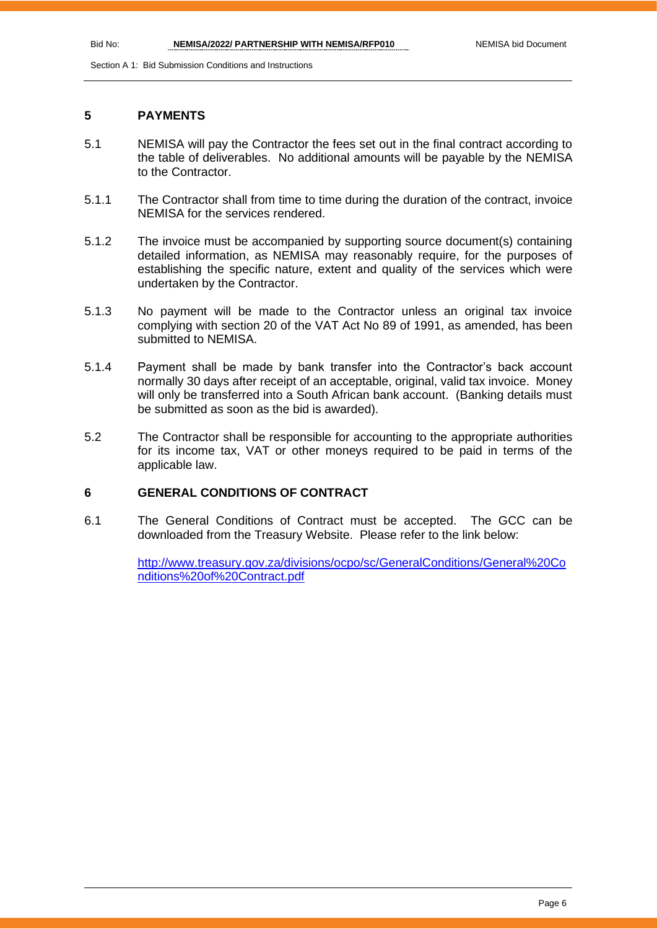#### **5 PAYMENTS**

- 5.1 NEMISA will pay the Contractor the fees set out in the final contract according to the table of deliverables. No additional amounts will be payable by the NEMISA to the Contractor.
- 5.1.1 The Contractor shall from time to time during the duration of the contract, invoice NEMISA for the services rendered.
- 5.1.2 The invoice must be accompanied by supporting source document(s) containing detailed information, as NEMISA may reasonably require, for the purposes of establishing the specific nature, extent and quality of the services which were undertaken by the Contractor.
- 5.1.3 No payment will be made to the Contractor unless an original tax invoice complying with section 20 of the VAT Act No 89 of 1991, as amended, has been submitted to NEMISA.
- 5.1.4 Payment shall be made by bank transfer into the Contractor's back account normally 30 days after receipt of an acceptable, original, valid tax invoice. Money will only be transferred into a South African bank account. (Banking details must be submitted as soon as the bid is awarded).
- 5.2 The Contractor shall be responsible for accounting to the appropriate authorities for its income tax, VAT or other moneys required to be paid in terms of the applicable law.

#### **6 GENERAL CONDITIONS OF CONTRACT**

6.1 The General Conditions of Contract must be accepted. The GCC can be downloaded from the Treasury Website. Please refer to the link below:

> [http://www.treasury.gov.za/divisions/ocpo/sc/GeneralConditions/General%20Co](http://www.treasury.gov.za/divisions/ocpo/sc/GeneralConditions/General%20Conditions%20of%20Contract.pdf) [nditions%20of%20Contract.pdf](http://www.treasury.gov.za/divisions/ocpo/sc/GeneralConditions/General%20Conditions%20of%20Contract.pdf)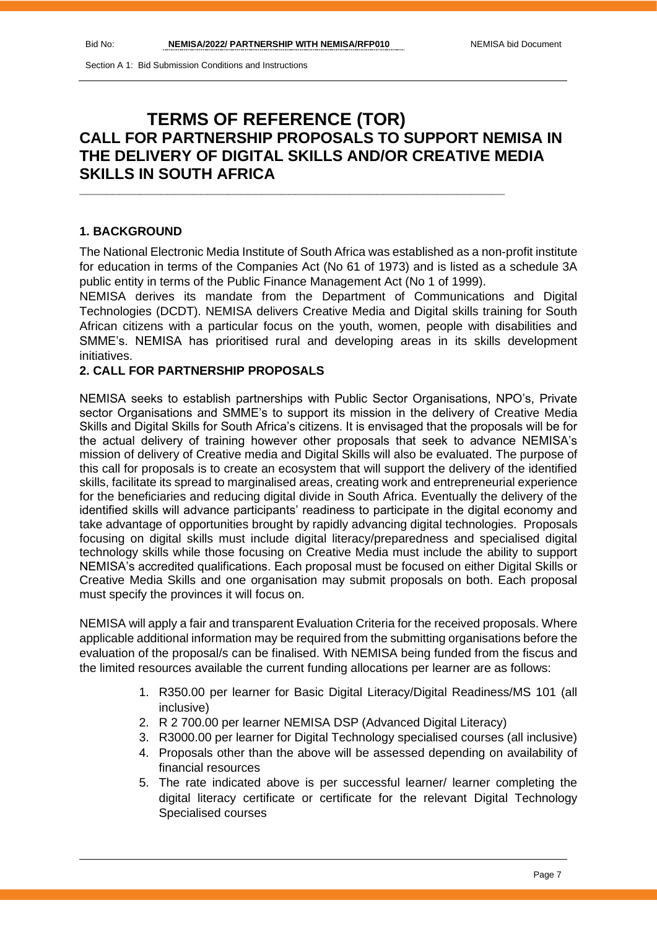## **TERMS OF REFERENCE (TOR) CALL FOR PARTNERSHIP PROPOSALS TO SUPPORT NEMISA IN THE DELIVERY OF DIGITAL SKILLS AND/OR CREATIVE MEDIA SKILLS IN SOUTH AFRICA**

**\_\_\_\_\_\_\_\_\_\_\_\_\_\_\_\_\_\_\_\_\_\_\_\_\_\_\_\_\_\_\_\_\_\_\_\_\_\_\_\_\_\_\_\_\_\_\_\_\_\_\_\_\_\_\_\_\_\_\_\_\_\_\_**

#### **1. BACKGROUND**

The National Electronic Media Institute of South Africa was established as a non-profit institute for education in terms of the Companies Act (No 61 of 1973) and is listed as a schedule 3A public entity in terms of the Public Finance Management Act (No 1 of 1999).

NEMISA derives its mandate from the Department of Communications and Digital Technologies (DCDT). NEMISA delivers Creative Media and Digital skills training for South African citizens with a particular focus on the youth, women, people with disabilities and SMME's. NEMISA has prioritised rural and developing areas in its skills development initiatives.

#### **2. CALL FOR PARTNERSHIP PROPOSALS**

NEMISA seeks to establish partnerships with Public Sector Organisations, NPO's, Private sector Organisations and SMME's to support its mission in the delivery of Creative Media Skills and Digital Skills for South Africa's citizens. It is envisaged that the proposals will be for the actual delivery of training however other proposals that seek to advance NEMISA's mission of delivery of Creative media and Digital Skills will also be evaluated. The purpose of this call for proposals is to create an ecosystem that will support the delivery of the identified skills, facilitate its spread to marginalised areas, creating work and entrepreneurial experience for the beneficiaries and reducing digital divide in South Africa. Eventually the delivery of the identified skills will advance participants' readiness to participate in the digital economy and take advantage of opportunities brought by rapidly advancing digital technologies. Proposals focusing on digital skills must include digital literacy/preparedness and specialised digital technology skills while those focusing on Creative Media must include the ability to support NEMISA's accredited qualifications. Each proposal must be focused on either Digital Skills or Creative Media Skills and one organisation may submit proposals on both. Each proposal must specify the provinces it will focus on.

NEMISA will apply a fair and transparent Evaluation Criteria for the received proposals. Where applicable additional information may be required from the submitting organisations before the evaluation of the proposal/s can be finalised. With NEMISA being funded from the fiscus and the limited resources available the current funding allocations per learner are as follows:

- 1. R350.00 per learner for Basic Digital Literacy/Digital Readiness/MS 101 (all inclusive)
- 2. R 2 700.00 per learner NEMISA DSP (Advanced Digital Literacy)
- 3. R3000.00 per learner for Digital Technology specialised courses (all inclusive)
- 4. Proposals other than the above will be assessed depending on availability of financial resources
- 5. The rate indicated above is per successful learner/ learner completing the digital literacy certificate or certificate for the relevant Digital Technology Specialised courses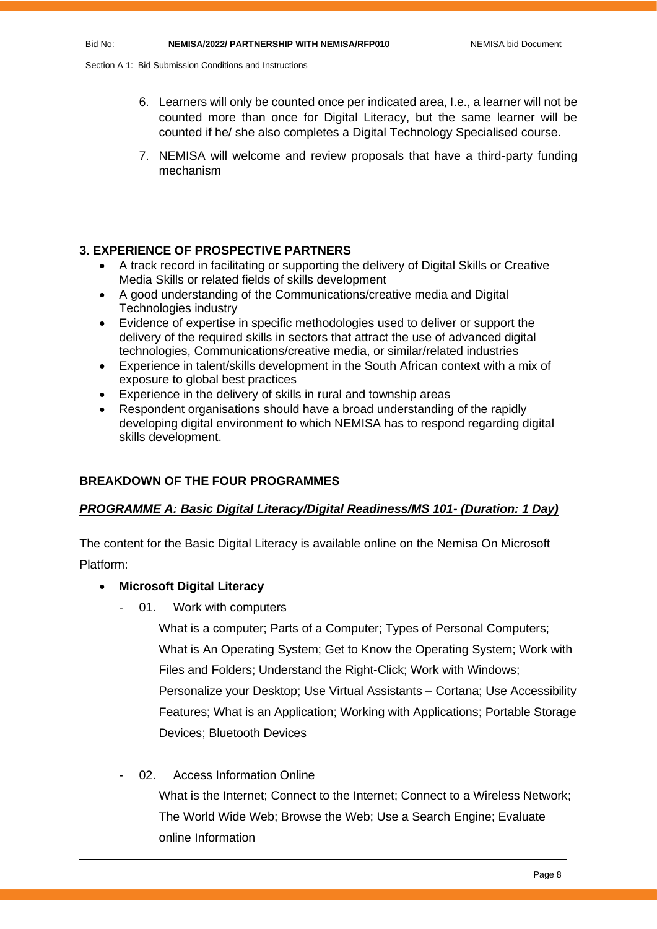- 6. Learners will only be counted once per indicated area, I.e., a learner will not be counted more than once for Digital Literacy, but the same learner will be counted if he/ she also completes a Digital Technology Specialised course.
- 7. NEMISA will welcome and review proposals that have a third-party funding mechanism

#### **3. EXPERIENCE OF PROSPECTIVE PARTNERS**

- A track record in facilitating or supporting the delivery of Digital Skills or Creative Media Skills or related fields of skills development
- A good understanding of the Communications/creative media and Digital Technologies industry
- Evidence of expertise in specific methodologies used to deliver or support the delivery of the required skills in sectors that attract the use of advanced digital technologies, Communications/creative media, or similar/related industries
- Experience in talent/skills development in the South African context with a mix of exposure to global best practices
- Experience in the delivery of skills in rural and township areas
- Respondent organisations should have a broad understanding of the rapidly developing digital environment to which NEMISA has to respond regarding digital skills development.

#### **BREAKDOWN OF THE FOUR PROGRAMMES**

#### *PROGRAMME A: Basic Digital Literacy/Digital Readiness/MS 101- (Duration: 1 Day)*

The content for the Basic Digital Literacy is available online on the Nemisa On Microsoft Platform:

#### • **Microsoft Digital Literacy**

01. Work with computers

What is a computer; Parts of a Computer; Types of Personal Computers; What is An Operating System; Get to Know the Operating System; Work with Files and Folders; Understand the Right-Click; Work with Windows; Personalize your Desktop; Use Virtual Assistants – Cortana; Use Accessibility Features; What is an Application; Working with Applications; Portable Storage Devices; Bluetooth Devices

02. Access Information Online

What is the Internet; Connect to the Internet; Connect to a Wireless Network; The World Wide Web; Browse the Web; Use a Search Engine; Evaluate online Information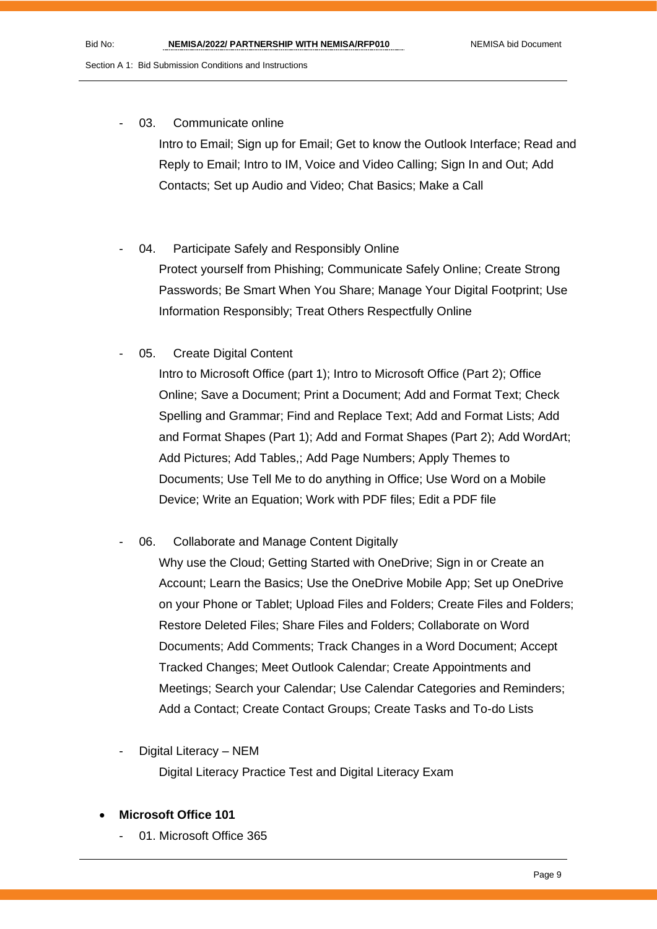03. Communicate online

Intro to Email; Sign up for Email; Get to know the Outlook Interface; Read and Reply to Email; Intro to IM, Voice and Video Calling; Sign In and Out; Add Contacts; Set up Audio and Video; Chat Basics; Make a Call

04. Participate Safely and Responsibly Online

Protect yourself from Phishing; Communicate Safely Online; Create Strong Passwords; Be Smart When You Share; Manage Your Digital Footprint; Use Information Responsibly; Treat Others Respectfully Online

05. Create Digital Content

Intro to Microsoft Office (part 1); Intro to Microsoft Office (Part 2); Office Online; Save a Document; Print a Document; Add and Format Text; Check Spelling and Grammar; Find and Replace Text; Add and Format Lists; Add and Format Shapes (Part 1); Add and Format Shapes (Part 2); Add WordArt; Add Pictures; Add Tables,; Add Page Numbers; Apply Themes to Documents; Use Tell Me to do anything in Office; Use Word on a Mobile Device; Write an Equation; Work with PDF files; Edit a PDF file

06. Collaborate and Manage Content Digitally

Why use the Cloud; Getting Started with OneDrive; Sign in or Create an Account; Learn the Basics; Use the OneDrive Mobile App; Set up OneDrive on your Phone or Tablet; Upload Files and Folders; Create Files and Folders; Restore Deleted Files; Share Files and Folders; Collaborate on Word Documents; Add Comments; Track Changes in a Word Document; Accept Tracked Changes; Meet Outlook Calendar; Create Appointments and Meetings; Search your Calendar; Use Calendar Categories and Reminders; Add a Contact; Create Contact Groups; Create Tasks and To-do Lists

- Digital Literacy NEM Digital Literacy Practice Test and Digital Literacy Exam
- **Microsoft Office 101**
	- 01. Microsoft Office 365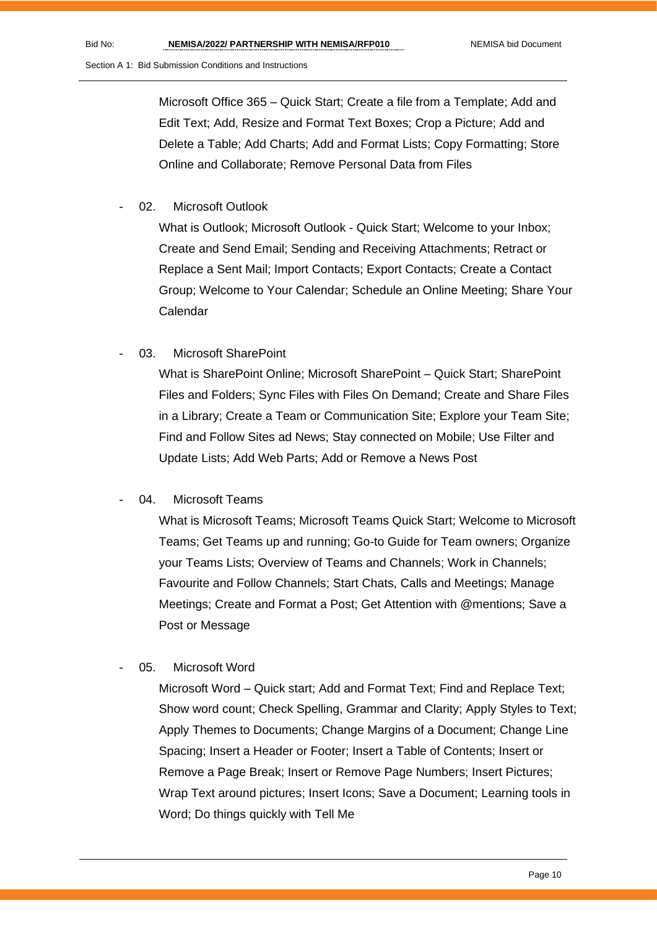Microsoft Office 365 – Quick Start; Create a file from a Template; Add and Edit Text; Add, Resize and Format Text Boxes; Crop a Picture; Add and Delete a Table; Add Charts; Add and Format Lists; Copy Formatting; Store Online and Collaborate; Remove Personal Data from Files

02. Microsoft Outlook

What is Outlook; Microsoft Outlook - Quick Start; Welcome to your Inbox; Create and Send Email; Sending and Receiving Attachments; Retract or Replace a Sent Mail; Import Contacts; Export Contacts; Create a Contact Group; Welcome to Your Calendar; Schedule an Online Meeting; Share Your Calendar

03. Microsoft SharePoint

What is SharePoint Online; Microsoft SharePoint – Quick Start; SharePoint Files and Folders; Sync Files with Files On Demand; Create and Share Files in a Library; Create a Team or Communication Site; Explore your Team Site; Find and Follow Sites ad News; Stay connected on Mobile; Use Filter and Update Lists; Add Web Parts; Add or Remove a News Post

04. Microsoft Teams

What is Microsoft Teams; Microsoft Teams Quick Start; Welcome to Microsoft Teams; Get Teams up and running; Go-to Guide for Team owners; Organize your Teams Lists; Overview of Teams and Channels; Work in Channels; Favourite and Follow Channels; Start Chats, Calls and Meetings; Manage Meetings; Create and Format a Post; Get Attention with @mentions; Save a Post or Message

05. Microsoft Word

Microsoft Word – Quick start; Add and Format Text; Find and Replace Text; Show word count; Check Spelling, Grammar and Clarity; Apply Styles to Text; Apply Themes to Documents; Change Margins of a Document; Change Line Spacing; Insert a Header or Footer; Insert a Table of Contents; Insert or Remove a Page Break; Insert or Remove Page Numbers; Insert Pictures; Wrap Text around pictures; Insert Icons; Save a Document; Learning tools in Word; Do things quickly with Tell Me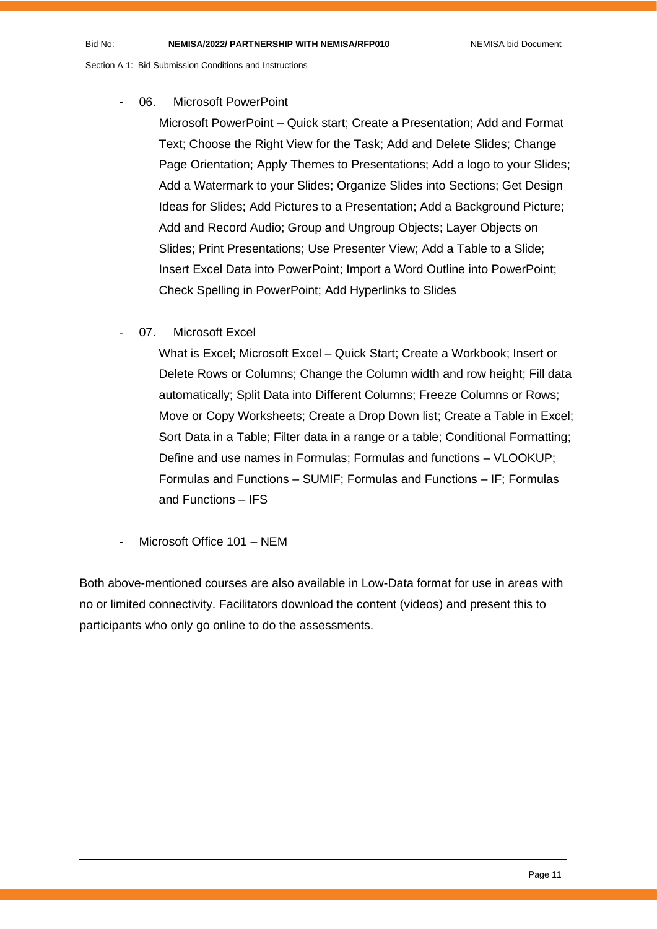#### 06. Microsoft PowerPoint

Microsoft PowerPoint – Quick start; Create a Presentation; Add and Format Text; Choose the Right View for the Task; Add and Delete Slides; Change Page Orientation: Apply Themes to Presentations: Add a logo to your Slides: Add a Watermark to your Slides; Organize Slides into Sections; Get Design Ideas for Slides; Add Pictures to a Presentation; Add a Background Picture; Add and Record Audio; Group and Ungroup Objects; Layer Objects on Slides; Print Presentations; Use Presenter View; Add a Table to a Slide; Insert Excel Data into PowerPoint; Import a Word Outline into PowerPoint; Check Spelling in PowerPoint; Add Hyperlinks to Slides

07. Microsoft Excel

What is Excel; Microsoft Excel – Quick Start; Create a Workbook; Insert or Delete Rows or Columns; Change the Column width and row height; Fill data automatically; Split Data into Different Columns; Freeze Columns or Rows; Move or Copy Worksheets; Create a Drop Down list; Create a Table in Excel; Sort Data in a Table; Filter data in a range or a table; Conditional Formatting; Define and use names in Formulas; Formulas and functions – VLOOKUP; Formulas and Functions – SUMIF; Formulas and Functions – IF; Formulas and Functions – IFS

Microsoft Office 101 – NEM

Both above-mentioned courses are also available in Low-Data format for use in areas with no or limited connectivity. Facilitators download the content (videos) and present this to participants who only go online to do the assessments.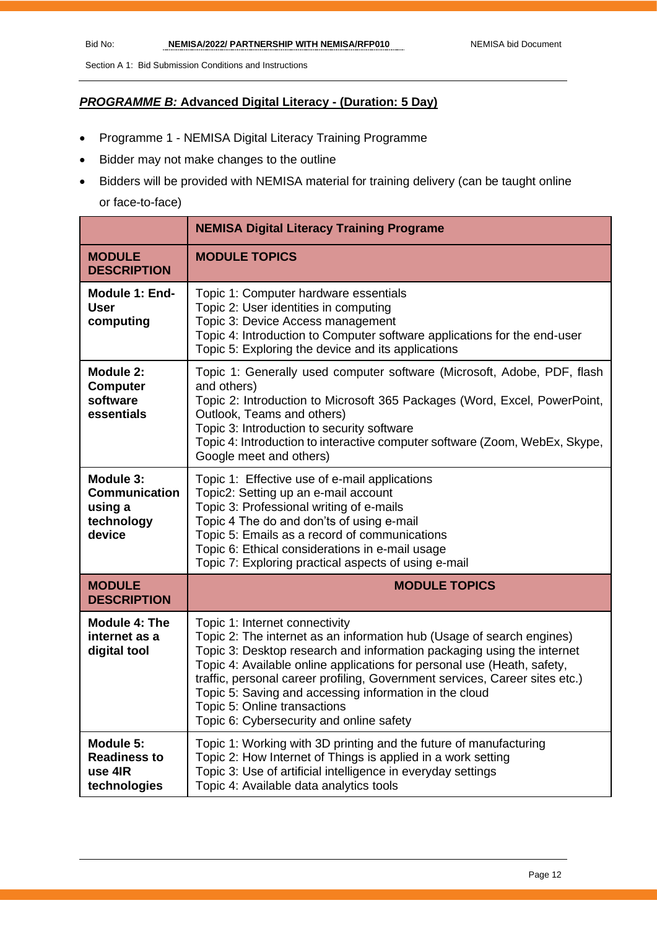#### *PROGRAMME B:* **Advanced Digital Literacy - (Duration: 5 Day)**

- Programme 1 NEMISA Digital Literacy Training Programme
- Bidder may not make changes to the outline
- Bidders will be provided with NEMISA material for training delivery (can be taught online or face-to-face)

|                                                                      | <b>NEMISA Digital Literacy Training Programe</b>                                                                                                                                                                                                                                                                                                                                                                                                                                  |
|----------------------------------------------------------------------|-----------------------------------------------------------------------------------------------------------------------------------------------------------------------------------------------------------------------------------------------------------------------------------------------------------------------------------------------------------------------------------------------------------------------------------------------------------------------------------|
| <b>MODULE</b><br><b>DESCRIPTION</b>                                  | <b>MODULE TOPICS</b>                                                                                                                                                                                                                                                                                                                                                                                                                                                              |
| Module 1: End-<br><b>User</b><br>computing                           | Topic 1: Computer hardware essentials<br>Topic 2: User identities in computing<br>Topic 3: Device Access management<br>Topic 4: Introduction to Computer software applications for the end-user<br>Topic 5: Exploring the device and its applications                                                                                                                                                                                                                             |
| Module 2:<br><b>Computer</b><br>software<br>essentials               | Topic 1: Generally used computer software (Microsoft, Adobe, PDF, flash<br>and others)<br>Topic 2: Introduction to Microsoft 365 Packages (Word, Excel, PowerPoint,<br>Outlook, Teams and others)<br>Topic 3: Introduction to security software<br>Topic 4: Introduction to interactive computer software (Zoom, WebEx, Skype,<br>Google meet and others)                                                                                                                         |
| Module 3:<br><b>Communication</b><br>using a<br>technology<br>device | Topic 1: Effective use of e-mail applications<br>Topic2: Setting up an e-mail account<br>Topic 3: Professional writing of e-mails<br>Topic 4 The do and don'ts of using e-mail<br>Topic 5: Emails as a record of communications<br>Topic 6: Ethical considerations in e-mail usage<br>Topic 7: Exploring practical aspects of using e-mail                                                                                                                                        |
| <b>MODULE</b><br><b>DESCRIPTION</b>                                  | <b>MODULE TOPICS</b>                                                                                                                                                                                                                                                                                                                                                                                                                                                              |
| <b>Module 4: The</b><br>internet as a<br>digital tool                | Topic 1: Internet connectivity<br>Topic 2: The internet as an information hub (Usage of search engines)<br>Topic 3: Desktop research and information packaging using the internet<br>Topic 4: Available online applications for personal use (Heath, safety,<br>traffic, personal career profiling, Government services, Career sites etc.)<br>Topic 5: Saving and accessing information in the cloud<br>Topic 5: Online transactions<br>Topic 6: Cybersecurity and online safety |
| Module 5:<br><b>Readiness to</b><br>use 4IR<br>technologies          | Topic 1: Working with 3D printing and the future of manufacturing<br>Topic 2: How Internet of Things is applied in a work setting<br>Topic 3: Use of artificial intelligence in everyday settings<br>Topic 4: Available data analytics tools                                                                                                                                                                                                                                      |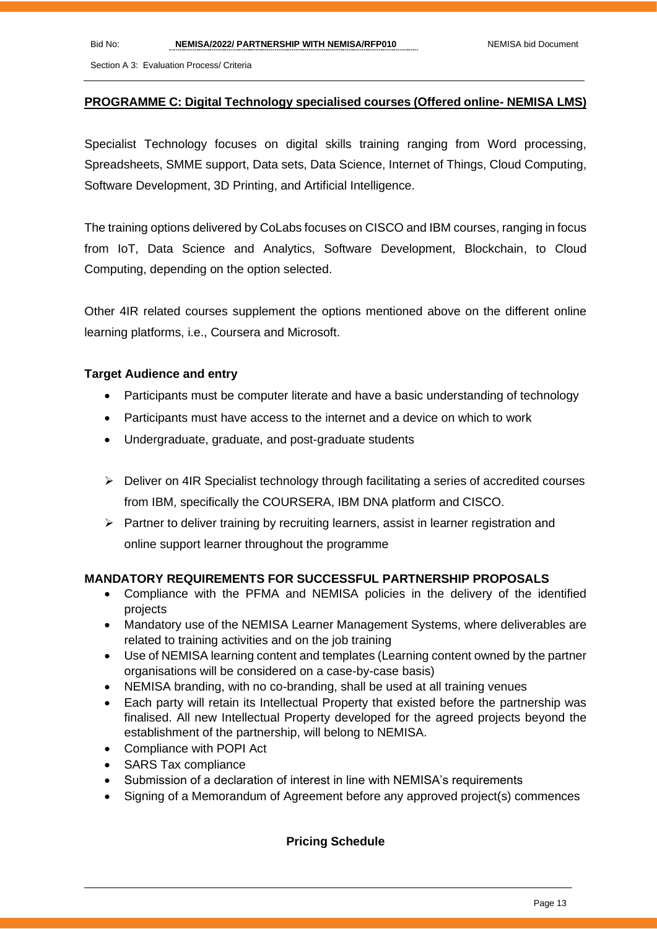#### **PROGRAMME C: Digital Technology specialised courses (Offered online- NEMISA LMS)**

Specialist Technology focuses on digital skills training ranging from Word processing, Spreadsheets, SMME support, Data sets, Data Science, Internet of Things, Cloud Computing, Software Development, 3D Printing, and Artificial Intelligence.

The training options delivered by CoLabs focuses on CISCO and IBM courses, ranging in focus from IoT, Data Science and Analytics, Software Development, Blockchain, to Cloud Computing, depending on the option selected.

Other 4IR related courses supplement the options mentioned above on the different online learning platforms, i.e., Coursera and Microsoft.

#### **Target Audience and entry**

- Participants must be computer literate and have a basic understanding of technology
- Participants must have access to the internet and a device on which to work
- Undergraduate, graduate, and post-graduate students
- ➢ Deliver on 4IR Specialist technology through facilitating a series of accredited courses from IBM, specifically the COURSERA, IBM DNA platform and CISCO.
- $\triangleright$  Partner to deliver training by recruiting learners, assist in learner registration and online support learner throughout the programme

#### **MANDATORY REQUIREMENTS FOR SUCCESSFUL PARTNERSHIP PROPOSALS**

- Compliance with the PFMA and NEMISA policies in the delivery of the identified projects
- Mandatory use of the NEMISA Learner Management Systems, where deliverables are related to training activities and on the job training
- Use of NEMISA learning content and templates (Learning content owned by the partner organisations will be considered on a case-by-case basis)
- NEMISA branding, with no co-branding, shall be used at all training venues
- Each party will retain its Intellectual Property that existed before the partnership was finalised. All new Intellectual Property developed for the agreed projects beyond the establishment of the partnership, will belong to NEMISA.
- Compliance with POPI Act
- SARS Tax compliance
- Submission of a declaration of interest in line with NEMISA's requirements
- Signing of a Memorandum of Agreement before any approved project(s) commences

#### **Pricing Schedule**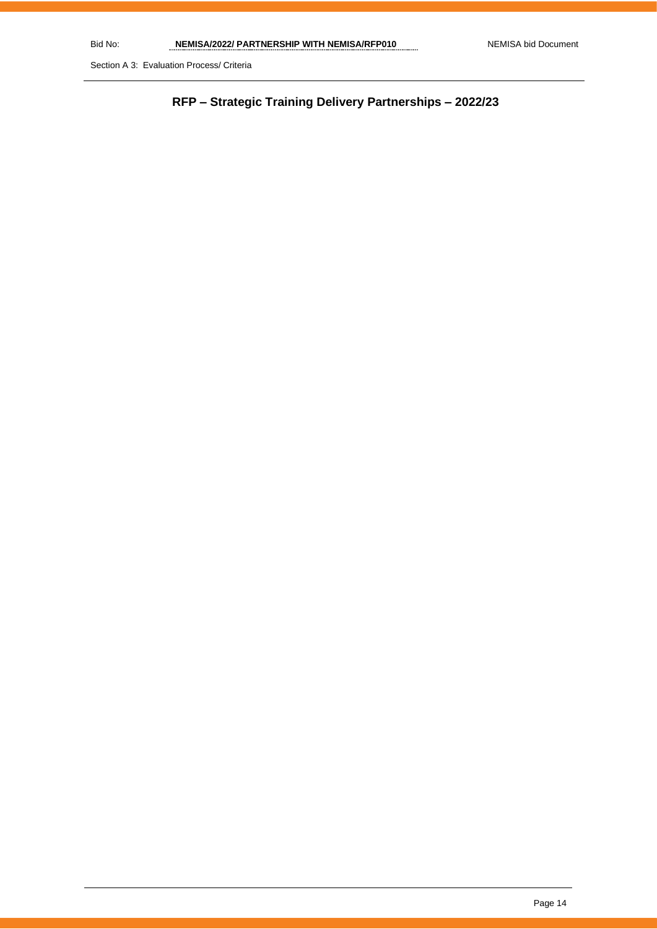**RFP – Strategic Training Delivery Partnerships – 2022/23**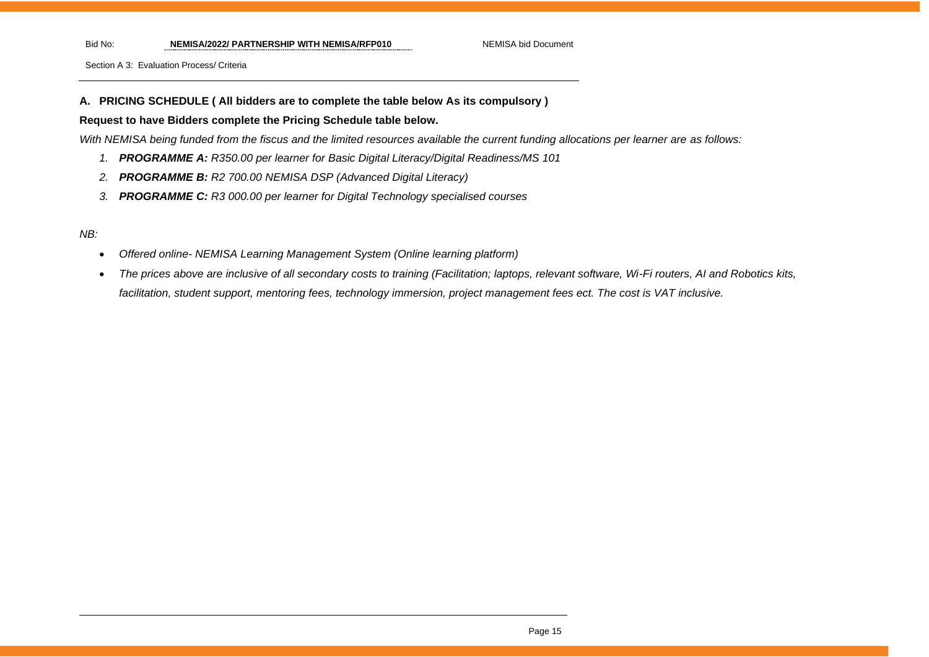Bid No: **NEMISA/2022/ PARTNERSHIP WITH NEMISA/RFP010** NEMISA bid Document

Section A 3: Evaluation Process/ Criteria

#### **A. PRICING SCHEDULE ( All bidders are to complete the table below As its compulsory )**

#### **Request to have Bidders complete the Pricing Schedule table below.**

*With NEMISA being funded from the fiscus and the limited resources available the current funding allocations per learner are as follows:*

- *1. PROGRAMME A: R350.00 per learner for Basic Digital Literacy/Digital Readiness/MS 101*
- *2. PROGRAMME B: R2 700.00 NEMISA DSP (Advanced Digital Literacy)*
- *3. PROGRAMME C: R3 000.00 per learner for Digital Technology specialised courses*

#### *NB:*

- *Offered online- NEMISA Learning Management System (Online learning platform)*
- *The prices above are inclusive of all secondary costs to training (Facilitation; laptops, relevant software, Wi-Fi routers, AI and Robotics kits, facilitation, student support, mentoring fees, technology immersion, project management fees ect. The cost is VAT inclusive.*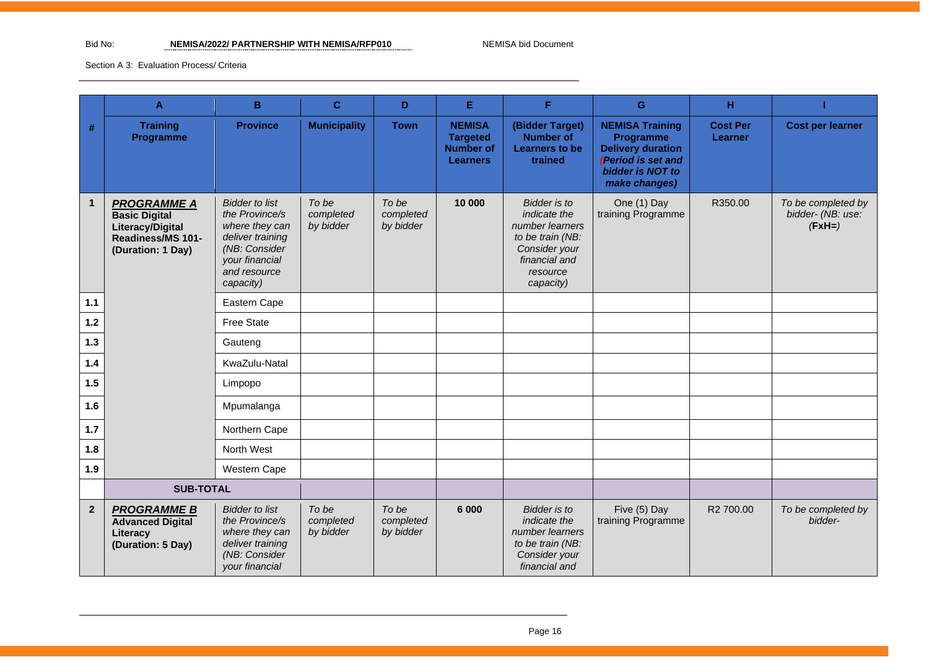#### Bid No: **NEMISA/2022/ PARTNERSHIP WITH NEMISA/RFP010** NEMISA bid Document

|              | A                                                                                                        | B                                                                                                                                             | $\mathbf{C}$                    | D                               | Е                                                                       | F.                                                                                                                                    | G                                                                                                                                 | н                          |                                                     |
|--------------|----------------------------------------------------------------------------------------------------------|-----------------------------------------------------------------------------------------------------------------------------------------------|---------------------------------|---------------------------------|-------------------------------------------------------------------------|---------------------------------------------------------------------------------------------------------------------------------------|-----------------------------------------------------------------------------------------------------------------------------------|----------------------------|-----------------------------------------------------|
| #            | <b>Training</b><br>Programme                                                                             | <b>Province</b>                                                                                                                               | <b>Municipality</b>             | <b>Town</b>                     | <b>NEMISA</b><br><b>Targeted</b><br><b>Number of</b><br><b>Learners</b> | (Bidder Target)<br><b>Number of</b><br>Learners to be<br>trained                                                                      | <b>NEMISA Training</b><br><b>Programme</b><br><b>Delivery duration</b><br>(Period is set and<br>bidder is NOT to<br>make changes) | <b>Cost Per</b><br>Learner | <b>Cost per learner</b>                             |
| $\mathbf{1}$ | <b>PROGRAMME A</b><br><b>Basic Digital</b><br>Literacy/Digital<br>Readiness/MS 101-<br>(Duration: 1 Day) | <b>Bidder</b> to list<br>the Province/s<br>where they can<br>deliver training<br>(NB: Consider<br>your financial<br>and resource<br>capacity) | To be<br>completed<br>by bidder | To be<br>completed<br>by bidder | 10 000                                                                  | <b>Bidder</b> is to<br>indicate the<br>number learners<br>to be train (NB:<br>Consider your<br>financial and<br>resource<br>capacity) | One (1) Day<br>training Programme                                                                                                 | R350.00                    | To be completed by<br>bidder- (NB: use:<br>$(FxH=)$ |
| 1.1          |                                                                                                          | Eastern Cape                                                                                                                                  |                                 |                                 |                                                                         |                                                                                                                                       |                                                                                                                                   |                            |                                                     |
| $1.2$        |                                                                                                          | <b>Free State</b>                                                                                                                             |                                 |                                 |                                                                         |                                                                                                                                       |                                                                                                                                   |                            |                                                     |
| $1.3$        |                                                                                                          | Gauteng                                                                                                                                       |                                 |                                 |                                                                         |                                                                                                                                       |                                                                                                                                   |                            |                                                     |
| 1.4          |                                                                                                          | KwaZulu-Natal                                                                                                                                 |                                 |                                 |                                                                         |                                                                                                                                       |                                                                                                                                   |                            |                                                     |
| 1.5          |                                                                                                          | Limpopo                                                                                                                                       |                                 |                                 |                                                                         |                                                                                                                                       |                                                                                                                                   |                            |                                                     |
| 1.6          |                                                                                                          | Mpumalanga                                                                                                                                    |                                 |                                 |                                                                         |                                                                                                                                       |                                                                                                                                   |                            |                                                     |
| $1.7$        |                                                                                                          | Northern Cape                                                                                                                                 |                                 |                                 |                                                                         |                                                                                                                                       |                                                                                                                                   |                            |                                                     |
| 1.8          |                                                                                                          | North West                                                                                                                                    |                                 |                                 |                                                                         |                                                                                                                                       |                                                                                                                                   |                            |                                                     |
| 1.9          |                                                                                                          | Western Cape                                                                                                                                  |                                 |                                 |                                                                         |                                                                                                                                       |                                                                                                                                   |                            |                                                     |
|              | <b>SUB-TOTAL</b>                                                                                         |                                                                                                                                               |                                 |                                 |                                                                         |                                                                                                                                       |                                                                                                                                   |                            |                                                     |
| $\mathbf{2}$ | <b>PROGRAMME B</b><br><b>Advanced Digital</b><br>Literacy<br>(Duration: 5 Day)                           | <b>Bidder to list</b><br>the Province/s<br>where they can<br>deliver training<br>(NB: Consider<br>your financial                              | To be<br>completed<br>by bidder | To be<br>completed<br>by bidder | 6 0 0 0                                                                 | <b>Bidder</b> is to<br>indicate the<br>number learners<br>to be train (NB:<br>Consider your<br>financial and                          | Five (5) Day<br>training Programme                                                                                                | R2 700.00                  | To be completed by<br>bidder-                       |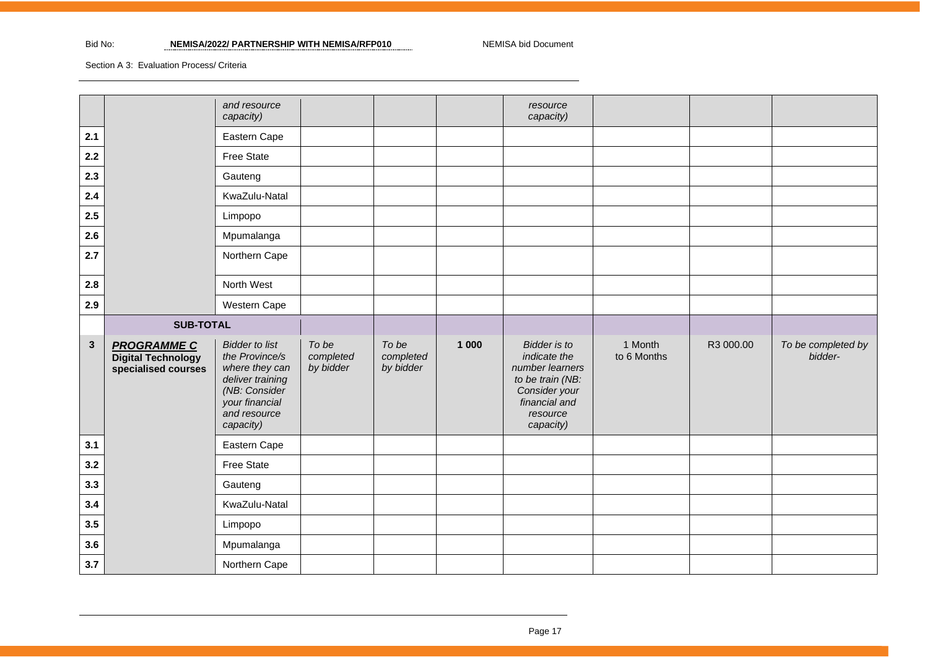|             |                                                                        | and resource<br>capacity)                                                                                                                     |                                 |                                 |       | resource<br>capacity)                                                                                                                 |                        |           |                               |
|-------------|------------------------------------------------------------------------|-----------------------------------------------------------------------------------------------------------------------------------------------|---------------------------------|---------------------------------|-------|---------------------------------------------------------------------------------------------------------------------------------------|------------------------|-----------|-------------------------------|
| 2.1         |                                                                        | Eastern Cape                                                                                                                                  |                                 |                                 |       |                                                                                                                                       |                        |           |                               |
| 2.2         |                                                                        | Free State                                                                                                                                    |                                 |                                 |       |                                                                                                                                       |                        |           |                               |
| 2.3         |                                                                        | Gauteng                                                                                                                                       |                                 |                                 |       |                                                                                                                                       |                        |           |                               |
| 2.4         |                                                                        | KwaZulu-Natal                                                                                                                                 |                                 |                                 |       |                                                                                                                                       |                        |           |                               |
| 2.5         |                                                                        | Limpopo                                                                                                                                       |                                 |                                 |       |                                                                                                                                       |                        |           |                               |
| 2.6         |                                                                        | Mpumalanga                                                                                                                                    |                                 |                                 |       |                                                                                                                                       |                        |           |                               |
| 2.7         |                                                                        | Northern Cape                                                                                                                                 |                                 |                                 |       |                                                                                                                                       |                        |           |                               |
| 2.8         |                                                                        | North West                                                                                                                                    |                                 |                                 |       |                                                                                                                                       |                        |           |                               |
| 2.9         |                                                                        | Western Cape                                                                                                                                  |                                 |                                 |       |                                                                                                                                       |                        |           |                               |
|             |                                                                        | <b>SUB-TOTAL</b>                                                                                                                              |                                 |                                 |       |                                                                                                                                       |                        |           |                               |
|             |                                                                        |                                                                                                                                               |                                 |                                 |       |                                                                                                                                       |                        |           |                               |
| $\mathbf 3$ | <b>PROGRAMME C</b><br><b>Digital Technology</b><br>specialised courses | <b>Bidder to list</b><br>the Province/s<br>where they can<br>deliver training<br>(NB: Consider<br>your financial<br>and resource<br>capacity) | To be<br>completed<br>by bidder | To be<br>completed<br>by bidder | 1 000 | <b>Bidder</b> is to<br>indicate the<br>number learners<br>to be train (NB:<br>Consider your<br>financial and<br>resource<br>capacity) | 1 Month<br>to 6 Months | R3 000.00 | To be completed by<br>bidder- |
| 3.1         |                                                                        | Eastern Cape                                                                                                                                  |                                 |                                 |       |                                                                                                                                       |                        |           |                               |
| 3.2         |                                                                        | Free State                                                                                                                                    |                                 |                                 |       |                                                                                                                                       |                        |           |                               |
| 3.3         |                                                                        | Gauteng                                                                                                                                       |                                 |                                 |       |                                                                                                                                       |                        |           |                               |
| 3.4         |                                                                        | KwaZulu-Natal                                                                                                                                 |                                 |                                 |       |                                                                                                                                       |                        |           |                               |
| 3.5         |                                                                        | Limpopo                                                                                                                                       |                                 |                                 |       |                                                                                                                                       |                        |           |                               |
| 3.6         |                                                                        | Mpumalanga                                                                                                                                    |                                 |                                 |       |                                                                                                                                       |                        |           |                               |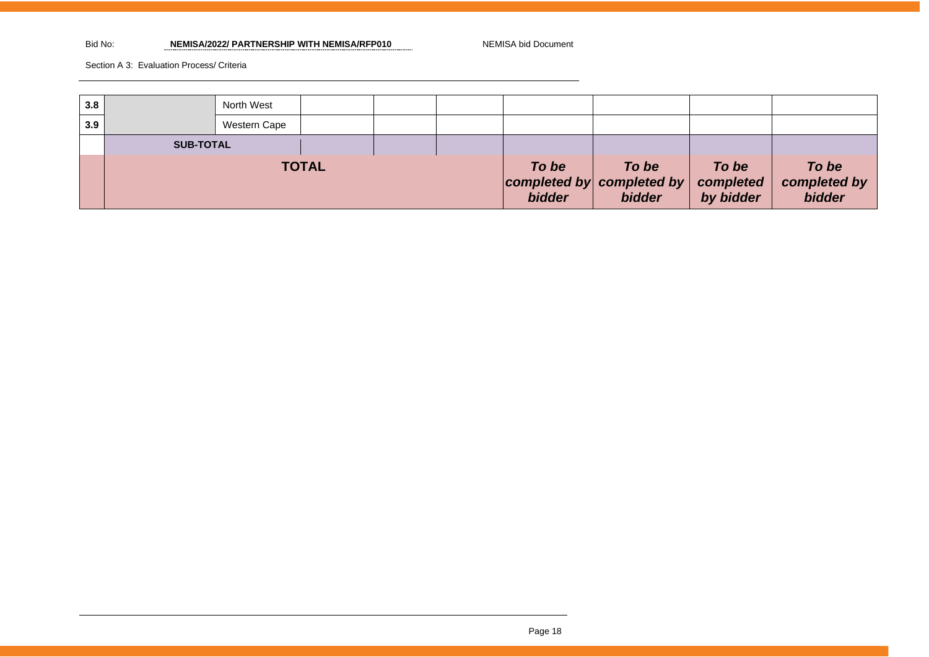#### Bid No: **NEMISA/2022/ PARTNERSHIP WITH NEMISA/RFP010** NEMISA bid Document

| 3.8 |                  | North West   |  |                        |                                              |                                 |                                 |  |
|-----|------------------|--------------|--|------------------------|----------------------------------------------|---------------------------------|---------------------------------|--|
| 3.9 |                  | Western Cape |  |                        |                                              |                                 |                                 |  |
|     | <b>SUB-TOTAL</b> |              |  |                        |                                              |                                 |                                 |  |
|     | <b>TOTAL</b>     |              |  | To be<br><b>bidder</b> | To be<br>completed by completed by<br>bidder | To be<br>completed<br>by bidder | To be<br>completed by<br>bidder |  |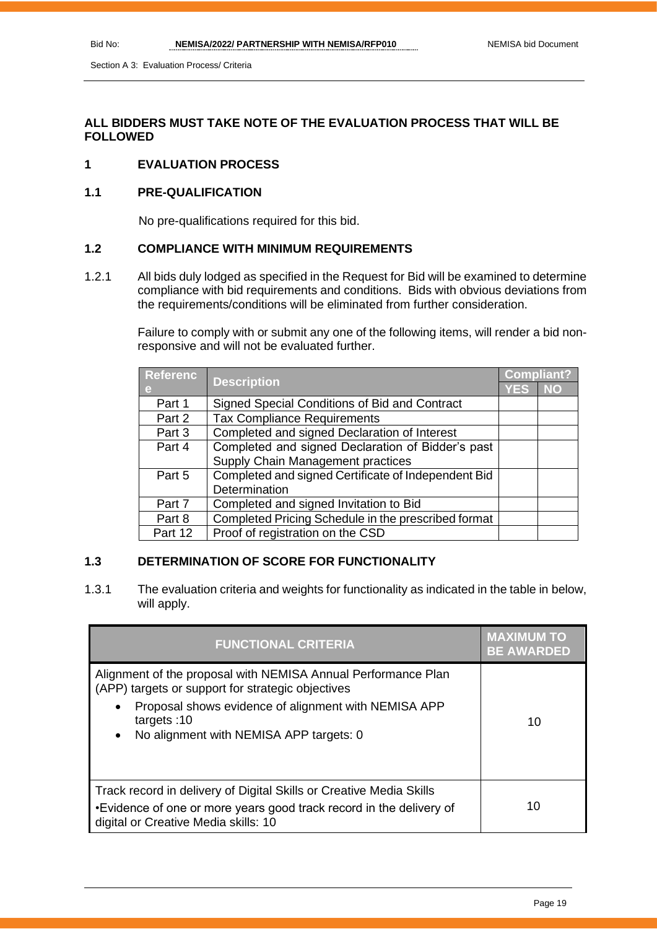#### **ALL BIDDERS MUST TAKE NOTE OF THE EVALUATION PROCESS THAT WILL BE FOLLOWED**

#### **1 EVALUATION PROCESS**

#### **1.1 PRE-QUALIFICATION**

No pre-qualifications required for this bid.

#### **1.2 COMPLIANCE WITH MINIMUM REQUIREMENTS**

1.2.1 All bids duly lodged as specified in the Request for Bid will be examined to determine compliance with bid requirements and conditions. Bids with obvious deviations from the requirements/conditions will be eliminated from further consideration.

> Failure to comply with or submit any one of the following items, will render a bid nonresponsive and will not be evaluated further.

| <b>Referenc</b> |                                                     |      | <b>Compliant?</b> |  |
|-----------------|-----------------------------------------------------|------|-------------------|--|
| e               | <b>Description</b>                                  | YES, | <b>NO</b>         |  |
| Part 1          | Signed Special Conditions of Bid and Contract       |      |                   |  |
| Part 2          | <b>Tax Compliance Requirements</b>                  |      |                   |  |
| Part 3          | Completed and signed Declaration of Interest        |      |                   |  |
| Part 4          | Completed and signed Declaration of Bidder's past   |      |                   |  |
|                 | Supply Chain Management practices                   |      |                   |  |
| Part 5          | Completed and signed Certificate of Independent Bid |      |                   |  |
|                 | Determination                                       |      |                   |  |
| Part 7          | Completed and signed Invitation to Bid              |      |                   |  |
| Part 8          | Completed Pricing Schedule in the prescribed format |      |                   |  |
| Part 12         | Proof of registration on the CSD                    |      |                   |  |

#### **1.3 DETERMINATION OF SCORE FOR FUNCTIONALITY**

1.3.1 The evaluation criteria and weights for functionality as indicated in the table in below, will apply.

| <b>FUNCTIONAL CRITERIA</b>                                                                                                                                                                                                                          | <b>MAXIMUM TO</b><br><b>BE AWARDED</b> |
|-----------------------------------------------------------------------------------------------------------------------------------------------------------------------------------------------------------------------------------------------------|----------------------------------------|
| Alignment of the proposal with NEMISA Annual Performance Plan<br>(APP) targets or support for strategic objectives<br>Proposal shows evidence of alignment with NEMISA APP<br>targets: $10$<br>No alignment with NEMISA APP targets: 0<br>$\bullet$ | 10                                     |
| Track record in delivery of Digital Skills or Creative Media Skills<br>•Evidence of one or more years good track record in the delivery of<br>digital or Creative Media skills: 10                                                                  | 10                                     |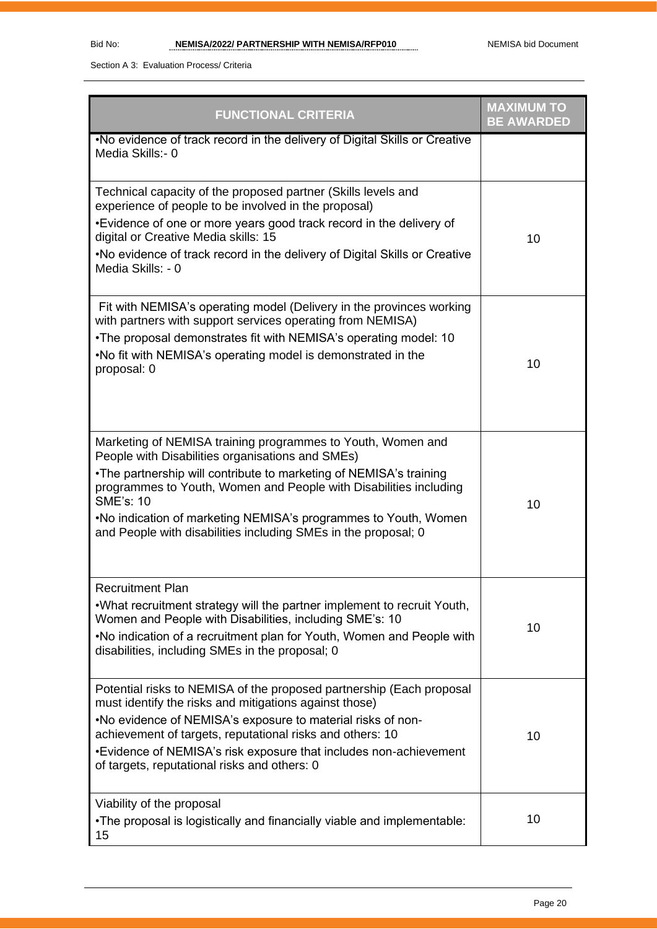| <b>FUNCTIONAL CRITERIA</b>                                                                                                                                                                                                                                                                                                                                                                                          | <b>MAXIMUM TO</b><br><b>BE AWARDED</b> |
|---------------------------------------------------------------------------------------------------------------------------------------------------------------------------------------------------------------------------------------------------------------------------------------------------------------------------------------------------------------------------------------------------------------------|----------------------------------------|
| .No evidence of track record in the delivery of Digital Skills or Creative<br>Media Skills:- 0                                                                                                                                                                                                                                                                                                                      |                                        |
| Technical capacity of the proposed partner (Skills levels and<br>experience of people to be involved in the proposal)<br>•Evidence of one or more years good track record in the delivery of<br>digital or Creative Media skills: 15<br>.No evidence of track record in the delivery of Digital Skills or Creative<br>Media Skills: - 0                                                                             | 10                                     |
| Fit with NEMISA's operating model (Delivery in the provinces working<br>with partners with support services operating from NEMISA)<br>. The proposal demonstrates fit with NEMISA's operating model: 10<br>. No fit with NEMISA's operating model is demonstrated in the<br>proposal: 0                                                                                                                             | 10                                     |
| Marketing of NEMISA training programmes to Youth, Women and<br>People with Disabilities organisations and SMEs)<br>•The partnership will contribute to marketing of NEMISA's training<br>programmes to Youth, Women and People with Disabilities including<br><b>SME's: 10</b><br>.No indication of marketing NEMISA's programmes to Youth, Women<br>and People with disabilities including SMEs in the proposal; 0 | 10                                     |
| <b>Recruitment Plan</b><br>.What recruitment strategy will the partner implement to recruit Youth,<br>Women and People with Disabilities, including SME's: 10<br>.No indication of a recruitment plan for Youth, Women and People with<br>disabilities, including SMEs in the proposal; 0                                                                                                                           | 10                                     |
| Potential risks to NEMISA of the proposed partnership (Each proposal<br>must identify the risks and mitigations against those)<br>.No evidence of NEMISA's exposure to material risks of non-<br>achievement of targets, reputational risks and others: 10<br>•Evidence of NEMISA's risk exposure that includes non-achievement<br>of targets, reputational risks and others: 0                                     | 10                                     |
| Viability of the proposal<br>•The proposal is logistically and financially viable and implementable:<br>15                                                                                                                                                                                                                                                                                                          | 10                                     |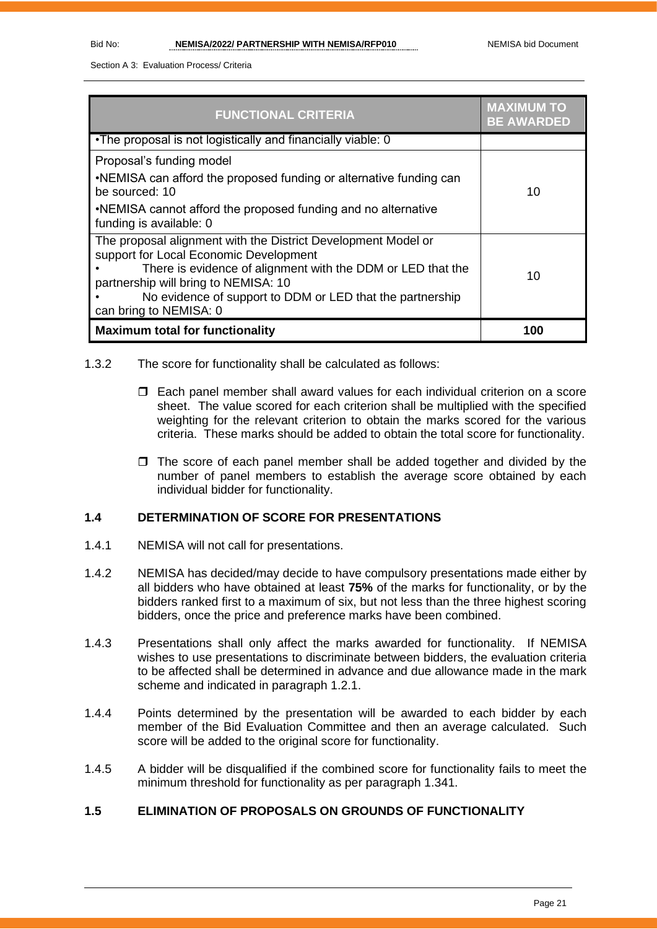| <b>FUNCTIONAL CRITERIA</b>                                                                                                                                                                                                                                                                            | <b>MAXIMUM TO</b><br><b>BE AWARDED</b> |
|-------------------------------------------------------------------------------------------------------------------------------------------------------------------------------------------------------------------------------------------------------------------------------------------------------|----------------------------------------|
| •The proposal is not logistically and financially viable: 0                                                                                                                                                                                                                                           |                                        |
| Proposal's funding model<br>•NEMISA can afford the proposed funding or alternative funding can<br>be sourced: 10<br>•NEMISA cannot afford the proposed funding and no alternative<br>funding is available: 0                                                                                          | 10                                     |
| The proposal alignment with the District Development Model or<br>support for Local Economic Development<br>There is evidence of alignment with the DDM or LED that the<br>partnership will bring to NEMISA: 10<br>No evidence of support to DDM or LED that the partnership<br>can bring to NEMISA: 0 | 10                                     |
| <b>Maximum total for functionality</b>                                                                                                                                                                                                                                                                | 100                                    |

- 1.3.2 The score for functionality shall be calculated as follows:
	- Each panel member shall award values for each individual criterion on a score sheet. The value scored for each criterion shall be multiplied with the specified weighting for the relevant criterion to obtain the marks scored for the various criteria. These marks should be added to obtain the total score for functionality.
	- $\Box$  The score of each panel member shall be added together and divided by the number of panel members to establish the average score obtained by each individual bidder for functionality.

#### **1.4 DETERMINATION OF SCORE FOR PRESENTATIONS**

- 1.4.1 NEMISA will not call for presentations.
- 1.4.2 NEMISA has decided/may decide to have compulsory presentations made either by all bidders who have obtained at least **75%** of the marks for functionality, or by the bidders ranked first to a maximum of six, but not less than the three highest scoring bidders, once the price and preference marks have been combined.
- 1.4.3 Presentations shall only affect the marks awarded for functionality. If NEMISA wishes to use presentations to discriminate between bidders, the evaluation criteria to be affected shall be determined in advance and due allowance made in the mark scheme and indicated in paragraph 1.2.1.
- 1.4.4 Points determined by the presentation will be awarded to each bidder by each member of the Bid Evaluation Committee and then an average calculated. Such score will be added to the original score for functionality.
- 1.4.5 A bidder will be disqualified if the combined score for functionality fails to meet the minimum threshold for functionality as per paragraph 1.341.

#### **1.5 ELIMINATION OF PROPOSALS ON GROUNDS OF FUNCTIONALITY**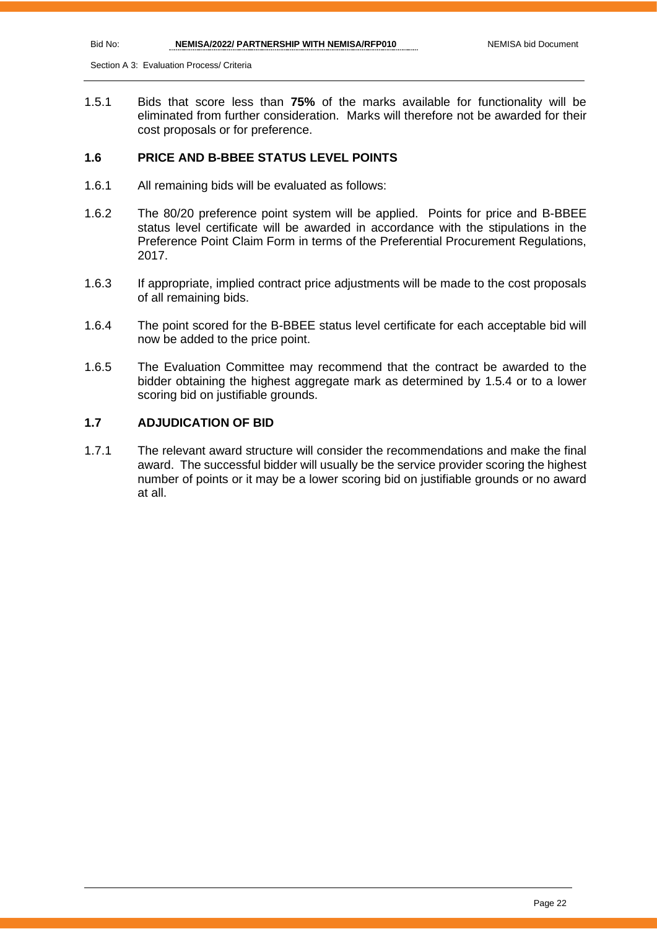1.5.1 Bids that score less than **75%** of the marks available for functionality will be eliminated from further consideration. Marks will therefore not be awarded for their cost proposals or for preference.

#### **1.6 PRICE AND B-BBEE STATUS LEVEL POINTS**

- 1.6.1 All remaining bids will be evaluated as follows:
- 1.6.2 The 80/20 preference point system will be applied. Points for price and B-BBEE status level certificate will be awarded in accordance with the stipulations in the Preference Point Claim Form in terms of the Preferential Procurement Regulations, 2017.
- 1.6.3 If appropriate, implied contract price adjustments will be made to the cost proposals of all remaining bids.
- 1.6.4 The point scored for the B-BBEE status level certificate for each acceptable bid will now be added to the price point.
- 1.6.5 The Evaluation Committee may recommend that the contract be awarded to the bidder obtaining the highest aggregate mark as determined by 1.5.4 or to a lower scoring bid on justifiable grounds.

#### **1.7 ADJUDICATION OF BID**

1.7.1 The relevant award structure will consider the recommendations and make the final award. The successful bidder will usually be the service provider scoring the highest number of points or it may be a lower scoring bid on justifiable grounds or no award at all.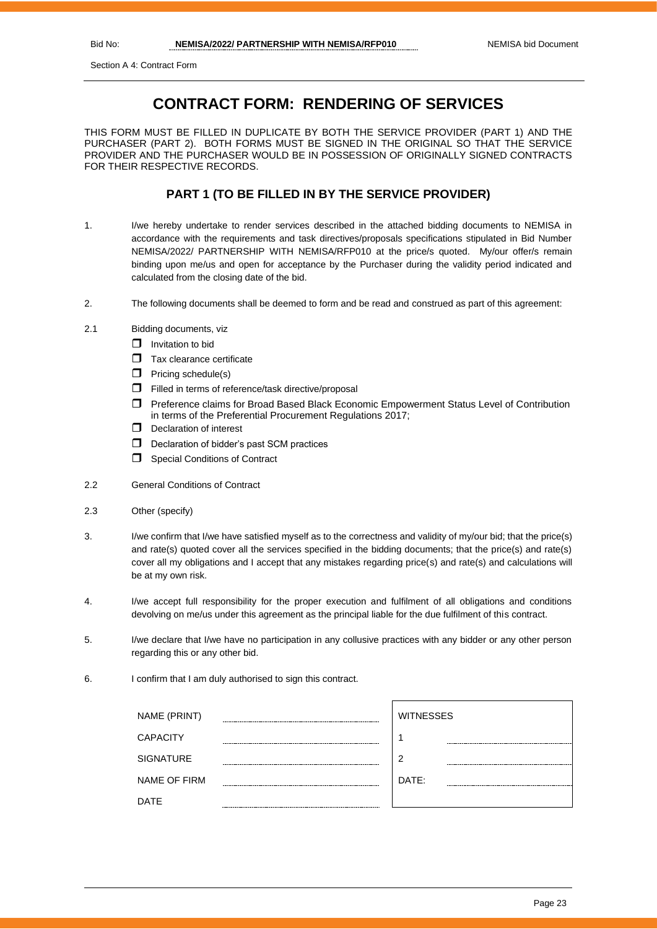Section A 4: Contract Form

## **CONTRACT FORM: RENDERING OF SERVICES**

THIS FORM MUST BE FILLED IN DUPLICATE BY BOTH THE SERVICE PROVIDER (PART 1) AND THE PURCHASER (PART 2). BOTH FORMS MUST BE SIGNED IN THE ORIGINAL SO THAT THE SERVICE PROVIDER AND THE PURCHASER WOULD BE IN POSSESSION OF ORIGINALLY SIGNED CONTRACTS FOR THEIR RESPECTIVE RECORDS.

#### **PART 1 (TO BE FILLED IN BY THE SERVICE PROVIDER)**

- 1. I/we hereby undertake to render services described in the attached bidding documents to NEMISA in accordance with the requirements and task directives/proposals specifications stipulated in Bid Number NEMISA/2022/ PARTNERSHIP WITH NEMISA/RFP010 at the price/s quoted. My/our offer/s remain binding upon me/us and open for acceptance by the Purchaser during the validity period indicated and calculated from the closing date of the bid.
- 2. The following documents shall be deemed to form and be read and construed as part of this agreement:
- 2.1 Bidding documents, viz
	- $\Box$  Invitation to bid
	- $\Box$  Tax clearance certificate
	- $\Box$  Pricing schedule(s)
	- Filled in terms of reference/task directive/proposal
	- Preference claims for Broad Based Black Economic Empowerment Status Level of Contribution in terms of the Preferential Procurement Regulations 2017;
	- D Declaration of interest
	- D Declaration of bidder's past SCM practices
	- **Special Conditions of Contract**
- 2.2 General Conditions of Contract
- 2.3 Other (specify)
- 3. I/we confirm that I/we have satisfied myself as to the correctness and validity of my/our bid; that the price(s) and rate(s) quoted cover all the services specified in the bidding documents; that the price(s) and rate(s) cover all my obligations and I accept that any mistakes regarding price(s) and rate(s) and calculations will be at my own risk.
- 4. I/we accept full responsibility for the proper execution and fulfilment of all obligations and conditions devolving on me/us under this agreement as the principal liable for the due fulfilment of this contract.
- 5. I/we declare that I/we have no participation in any collusive practices with any bidder or any other person regarding this or any other bid.
- 6. I confirm that I am duly authorised to sign this contract.

| NAME (PRINT)        |        | <b>WITNESSES</b> |
|---------------------|--------|------------------|
| <b>CAPACITY</b>     |        |                  |
| <b>SIGNATURE</b>    | ------ | 2                |
| <b>NAME OF FIRM</b> |        | DATE:            |
| DATE                |        |                  |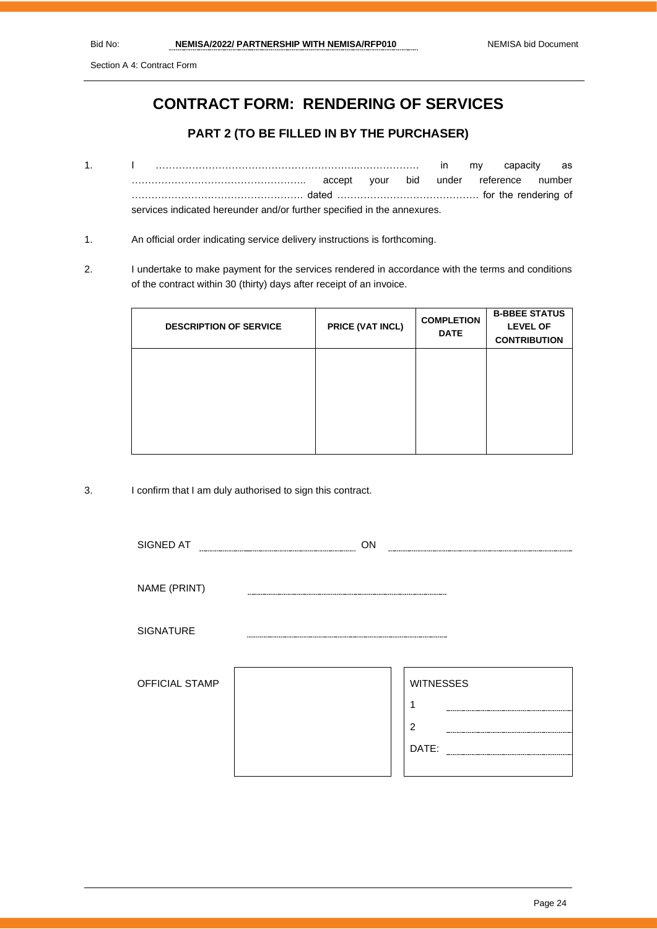Section A 4: Contract Form

## **CONTRACT FORM: RENDERING OF SERVICES**

#### **PART 2 (TO BE FILLED IN BY THE PURCHASER)**

- 1. I ……………………………………………………..……………… in my capacity as …………………………………………….. accept your bid under reference number ……………………………………………. dated ……………………………………. for the rendering of services indicated hereunder and/or further specified in the annexures.
- 1. An official order indicating service delivery instructions is forthcoming.
- 2. I undertake to make payment for the services rendered in accordance with the terms and conditions of the contract within 30 (thirty) days after receipt of an invoice.

| <b>DESCRIPTION OF SERVICE</b> | PRICE (VAT INCL) | <b>COMPLETION</b><br><b>DATE</b> | <b>B-BBEE STATUS</b><br><b>LEVEL OF</b><br><b>CONTRIBUTION</b> |
|-------------------------------|------------------|----------------------------------|----------------------------------------------------------------|
|                               |                  |                                  |                                                                |
|                               |                  |                                  |                                                                |
|                               |                  |                                  |                                                                |

3. I confirm that I am duly authorised to sign this contract.

| SIGNED AT        | ON |                       |
|------------------|----|-----------------------|
|                  |    |                       |
| NAME (PRINT)     |    |                       |
| <b>SIGNATURE</b> |    |                       |
| OFFICIAL STAMP   |    | <b>WITNESSES</b><br>٠ |
|                  |    | $\overline{2}$        |
|                  |    | DATE:                 |
|                  |    |                       |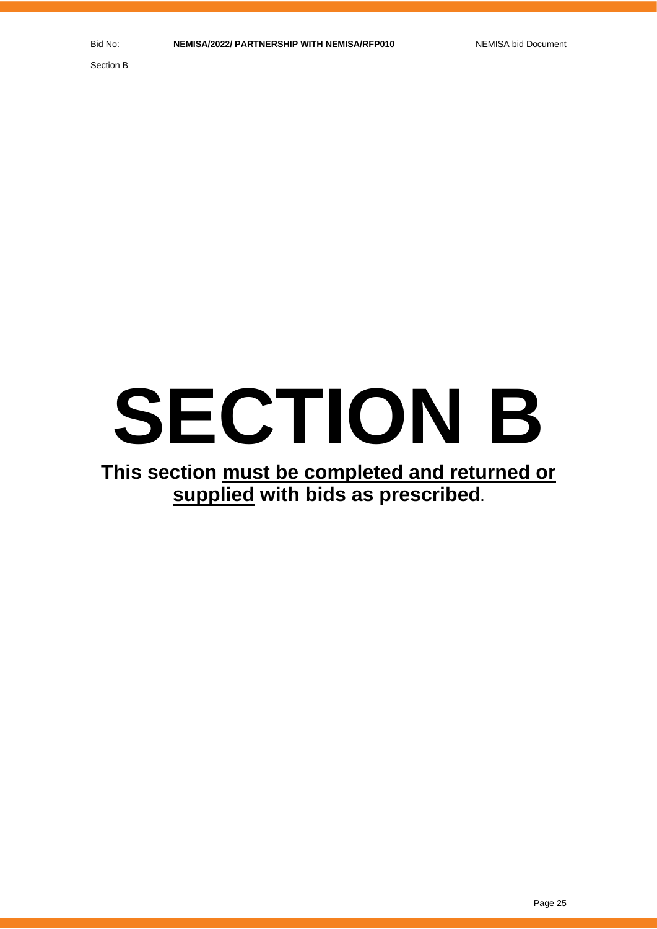Section B

# **SECTION B**

## **This section must be completed and returned or supplied with bids as prescribed.**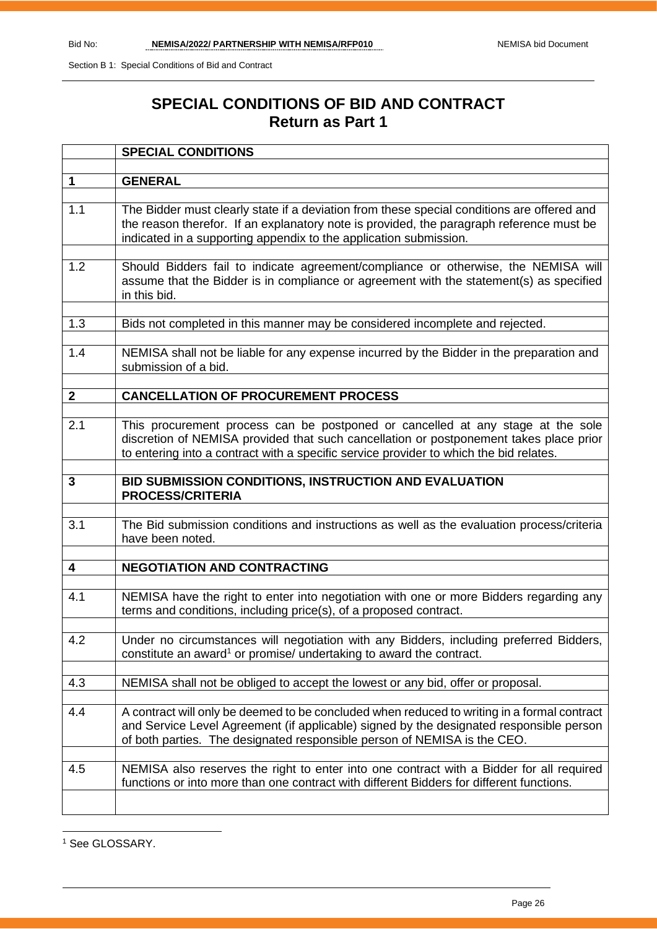## **SPECIAL CONDITIONS OF BID AND CONTRACT Return as Part 1**

|              | <b>SPECIAL CONDITIONS</b>                                                                                                                                                                                                                                           |  |  |  |
|--------------|---------------------------------------------------------------------------------------------------------------------------------------------------------------------------------------------------------------------------------------------------------------------|--|--|--|
|              |                                                                                                                                                                                                                                                                     |  |  |  |
| $\mathbf 1$  | <b>GENERAL</b>                                                                                                                                                                                                                                                      |  |  |  |
| 1.1          | The Bidder must clearly state if a deviation from these special conditions are offered and<br>the reason therefor. If an explanatory note is provided, the paragraph reference must be<br>indicated in a supporting appendix to the application submission.         |  |  |  |
| 1.2          | Should Bidders fail to indicate agreement/compliance or otherwise, the NEMISA will<br>assume that the Bidder is in compliance or agreement with the statement(s) as specified<br>in this bid.                                                                       |  |  |  |
| 1.3          | Bids not completed in this manner may be considered incomplete and rejected.                                                                                                                                                                                        |  |  |  |
| 1.4          | NEMISA shall not be liable for any expense incurred by the Bidder in the preparation and<br>submission of a bid.                                                                                                                                                    |  |  |  |
| $\mathbf{2}$ | <b>CANCELLATION OF PROCUREMENT PROCESS</b>                                                                                                                                                                                                                          |  |  |  |
|              |                                                                                                                                                                                                                                                                     |  |  |  |
| 2.1          | This procurement process can be postponed or cancelled at any stage at the sole<br>discretion of NEMISA provided that such cancellation or postponement takes place prior<br>to entering into a contract with a specific service provider to which the bid relates. |  |  |  |
| 3            | BID SUBMISSION CONDITIONS, INSTRUCTION AND EVALUATION<br><b>PROCESS/CRITERIA</b>                                                                                                                                                                                    |  |  |  |
| 3.1          | The Bid submission conditions and instructions as well as the evaluation process/criteria<br>have been noted.                                                                                                                                                       |  |  |  |
| 4            | <b>NEGOTIATION AND CONTRACTING</b>                                                                                                                                                                                                                                  |  |  |  |
|              |                                                                                                                                                                                                                                                                     |  |  |  |
| 4.1          | NEMISA have the right to enter into negotiation with one or more Bidders regarding any<br>terms and conditions, including price(s), of a proposed contract.                                                                                                         |  |  |  |
| 4.2          | Under no circumstances will negotiation with any Bidders, including preferred Bidders,<br>constitute an award <sup>1</sup> or promise/ undertaking to award the contract.                                                                                           |  |  |  |
| 4.3          | NEMISA shall not be obliged to accept the lowest or any bid, offer or proposal.                                                                                                                                                                                     |  |  |  |
|              |                                                                                                                                                                                                                                                                     |  |  |  |
| 4.4          | A contract will only be deemed to be concluded when reduced to writing in a formal contract<br>and Service Level Agreement (if applicable) signed by the designated responsible person<br>of both parties. The designated responsible person of NEMISA is the CEO.  |  |  |  |
| 4.5          | NEMISA also reserves the right to enter into one contract with a Bidder for all required<br>functions or into more than one contract with different Bidders for different functions.                                                                                |  |  |  |
|              |                                                                                                                                                                                                                                                                     |  |  |  |

<sup>1</sup> See GLOSSARY.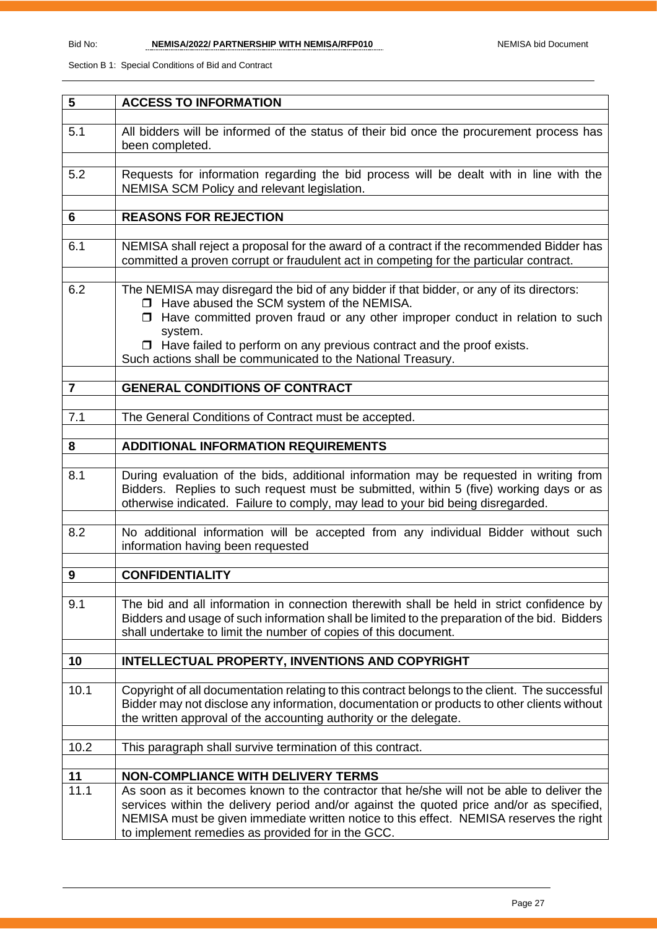| 5              | <b>ACCESS TO INFORMATION</b>                                                                                                                                                                                                                                                                                                          |
|----------------|---------------------------------------------------------------------------------------------------------------------------------------------------------------------------------------------------------------------------------------------------------------------------------------------------------------------------------------|
|                |                                                                                                                                                                                                                                                                                                                                       |
| 5.1            | All bidders will be informed of the status of their bid once the procurement process has<br>been completed.                                                                                                                                                                                                                           |
|                |                                                                                                                                                                                                                                                                                                                                       |
| 5.2            | Requests for information regarding the bid process will be dealt with in line with the<br>NEMISA SCM Policy and relevant legislation.                                                                                                                                                                                                 |
|                |                                                                                                                                                                                                                                                                                                                                       |
| 6              | <b>REASONS FOR REJECTION</b>                                                                                                                                                                                                                                                                                                          |
|                |                                                                                                                                                                                                                                                                                                                                       |
| 6.1            | NEMISA shall reject a proposal for the award of a contract if the recommended Bidder has<br>committed a proven corrupt or fraudulent act in competing for the particular contract.                                                                                                                                                    |
|                |                                                                                                                                                                                                                                                                                                                                       |
| 6.2            | The NEMISA may disregard the bid of any bidder if that bidder, or any of its directors:<br>□ Have abused the SCM system of the NEMISA.                                                                                                                                                                                                |
|                | $\Box$ Have committed proven fraud or any other improper conduct in relation to such<br>system.                                                                                                                                                                                                                                       |
|                | $\Box$ Have failed to perform on any previous contract and the proof exists.<br>Such actions shall be communicated to the National Treasury.                                                                                                                                                                                          |
|                |                                                                                                                                                                                                                                                                                                                                       |
| $\overline{7}$ | <b>GENERAL CONDITIONS OF CONTRACT</b>                                                                                                                                                                                                                                                                                                 |
|                |                                                                                                                                                                                                                                                                                                                                       |
| 7.1            | The General Conditions of Contract must be accepted.                                                                                                                                                                                                                                                                                  |
| 8              | <b>ADDITIONAL INFORMATION REQUIREMENTS</b>                                                                                                                                                                                                                                                                                            |
|                |                                                                                                                                                                                                                                                                                                                                       |
| 8.1            | During evaluation of the bids, additional information may be requested in writing from<br>Bidders. Replies to such request must be submitted, within 5 (five) working days or as<br>otherwise indicated. Failure to comply, may lead to your bid being disregarded.                                                                   |
|                |                                                                                                                                                                                                                                                                                                                                       |
| 8.2            | No additional information will be accepted from any individual Bidder without such<br>information having been requested                                                                                                                                                                                                               |
|                |                                                                                                                                                                                                                                                                                                                                       |
| 9              | <b>CONFIDENTIALITY</b>                                                                                                                                                                                                                                                                                                                |
|                |                                                                                                                                                                                                                                                                                                                                       |
| 9.1            | The bid and all information in connection therewith shall be held in strict confidence by<br>Bidders and usage of such information shall be limited to the preparation of the bid. Bidders<br>shall undertake to limit the number of copies of this document.                                                                         |
|                |                                                                                                                                                                                                                                                                                                                                       |
| 10             | <b>INTELLECTUAL PROPERTY, INVENTIONS AND COPYRIGHT</b>                                                                                                                                                                                                                                                                                |
| 10.1           | Copyright of all documentation relating to this contract belongs to the client. The successful                                                                                                                                                                                                                                        |
|                | Bidder may not disclose any information, documentation or products to other clients without                                                                                                                                                                                                                                           |
|                | the written approval of the accounting authority or the delegate.                                                                                                                                                                                                                                                                     |
|                |                                                                                                                                                                                                                                                                                                                                       |
| 10.2           | This paragraph shall survive termination of this contract.                                                                                                                                                                                                                                                                            |
|                |                                                                                                                                                                                                                                                                                                                                       |
| 11             | <b>NON-COMPLIANCE WITH DELIVERY TERMS</b>                                                                                                                                                                                                                                                                                             |
| 11.1           | As soon as it becomes known to the contractor that he/she will not be able to deliver the<br>services within the delivery period and/or against the quoted price and/or as specified,<br>NEMISA must be given immediate written notice to this effect. NEMISA reserves the right<br>to implement remedies as provided for in the GCC. |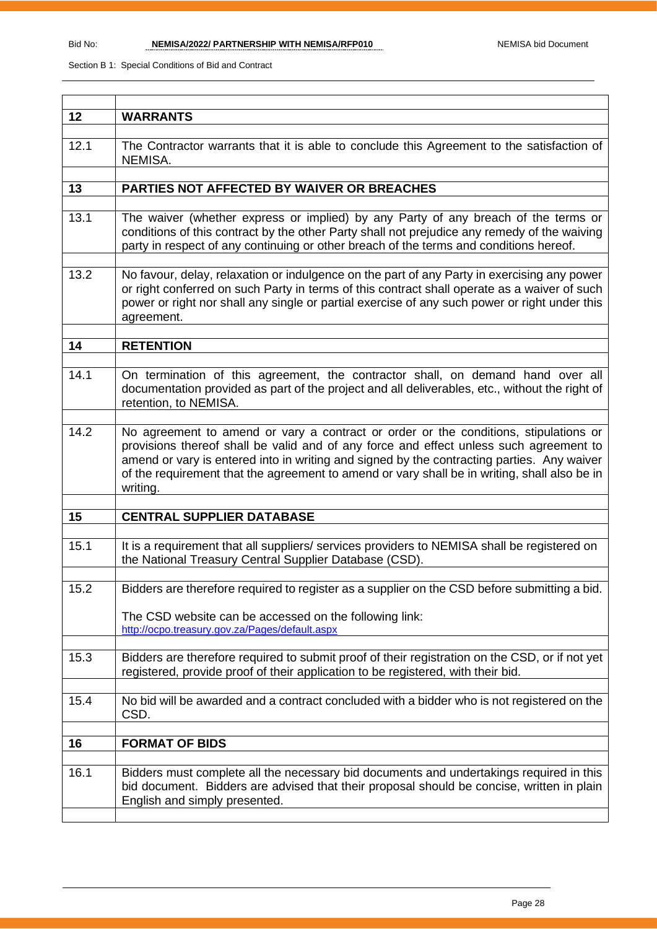| 12   | <b>WARRANTS</b>                                                                                                                                                                                                                                                                                                                                                                          |
|------|------------------------------------------------------------------------------------------------------------------------------------------------------------------------------------------------------------------------------------------------------------------------------------------------------------------------------------------------------------------------------------------|
| 12.1 | The Contractor warrants that it is able to conclude this Agreement to the satisfaction of<br>NEMISA.                                                                                                                                                                                                                                                                                     |
|      |                                                                                                                                                                                                                                                                                                                                                                                          |
| 13   | PARTIES NOT AFFECTED BY WAIVER OR BREACHES                                                                                                                                                                                                                                                                                                                                               |
|      |                                                                                                                                                                                                                                                                                                                                                                                          |
| 13.1 | The waiver (whether express or implied) by any Party of any breach of the terms or<br>conditions of this contract by the other Party shall not prejudice any remedy of the waiving<br>party in respect of any continuing or other breach of the terms and conditions hereof.                                                                                                             |
| 13.2 | No favour, delay, relaxation or indulgence on the part of any Party in exercising any power<br>or right conferred on such Party in terms of this contract shall operate as a waiver of such<br>power or right nor shall any single or partial exercise of any such power or right under this<br>agreement.                                                                               |
| 14   | <b>RETENTION</b>                                                                                                                                                                                                                                                                                                                                                                         |
|      |                                                                                                                                                                                                                                                                                                                                                                                          |
| 14.1 | On termination of this agreement, the contractor shall, on demand hand over all<br>documentation provided as part of the project and all deliverables, etc., without the right of<br>retention, to NEMISA.                                                                                                                                                                               |
| 14.2 | No agreement to amend or vary a contract or order or the conditions, stipulations or<br>provisions thereof shall be valid and of any force and effect unless such agreement to<br>amend or vary is entered into in writing and signed by the contracting parties. Any waiver<br>of the requirement that the agreement to amend or vary shall be in writing, shall also be in<br>writing. |
|      |                                                                                                                                                                                                                                                                                                                                                                                          |
| 15   | <b>CENTRAL SUPPLIER DATABASE</b>                                                                                                                                                                                                                                                                                                                                                         |
| 15.1 | It is a requirement that all suppliers/ services providers to NEMISA shall be registered on<br>the National Treasury Central Supplier Database (CSD).                                                                                                                                                                                                                                    |
|      |                                                                                                                                                                                                                                                                                                                                                                                          |
| 15.2 | Bidders are therefore required to register as a supplier on the CSD before submitting a bid.                                                                                                                                                                                                                                                                                             |
|      | The CSD website can be accessed on the following link:<br>http://ocpo.treasury.gov.za/Pages/default.aspx                                                                                                                                                                                                                                                                                 |
| 15.3 | Bidders are therefore required to submit proof of their registration on the CSD, or if not yet<br>registered, provide proof of their application to be registered, with their bid.                                                                                                                                                                                                       |
| 15.4 | No bid will be awarded and a contract concluded with a bidder who is not registered on the<br>CSD.                                                                                                                                                                                                                                                                                       |
|      |                                                                                                                                                                                                                                                                                                                                                                                          |
| 16   | <b>FORMAT OF BIDS</b>                                                                                                                                                                                                                                                                                                                                                                    |
|      |                                                                                                                                                                                                                                                                                                                                                                                          |
| 16.1 | Bidders must complete all the necessary bid documents and undertakings required in this<br>bid document. Bidders are advised that their proposal should be concise, written in plain<br>English and simply presented.                                                                                                                                                                    |
|      |                                                                                                                                                                                                                                                                                                                                                                                          |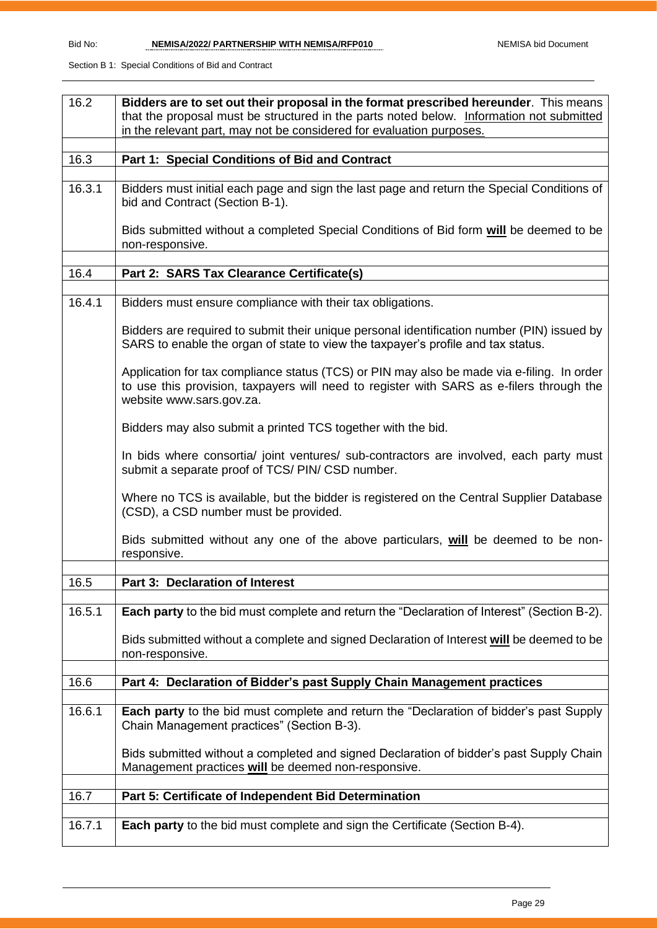| 16.2   | Bidders are to set out their proposal in the format prescribed hereunder. This means                                                                                                                               |  |  |  |
|--------|--------------------------------------------------------------------------------------------------------------------------------------------------------------------------------------------------------------------|--|--|--|
|        | that the proposal must be structured in the parts noted below. Information not submitted                                                                                                                           |  |  |  |
|        | in the relevant part, may not be considered for evaluation purposes.                                                                                                                                               |  |  |  |
| 16.3   | Part 1: Special Conditions of Bid and Contract                                                                                                                                                                     |  |  |  |
|        |                                                                                                                                                                                                                    |  |  |  |
| 16.3.1 | Bidders must initial each page and sign the last page and return the Special Conditions of<br>bid and Contract (Section B-1).                                                                                      |  |  |  |
|        | Bids submitted without a completed Special Conditions of Bid form will be deemed to be<br>non-responsive.                                                                                                          |  |  |  |
|        |                                                                                                                                                                                                                    |  |  |  |
| 16.4   | Part 2: SARS Tax Clearance Certificate(s)                                                                                                                                                                          |  |  |  |
| 16.4.1 | Bidders must ensure compliance with their tax obligations.                                                                                                                                                         |  |  |  |
|        | Bidders are required to submit their unique personal identification number (PIN) issued by<br>SARS to enable the organ of state to view the taxpayer's profile and tax status.                                     |  |  |  |
|        | Application for tax compliance status (TCS) or PIN may also be made via e-filing. In order<br>to use this provision, taxpayers will need to register with SARS as e-filers through the<br>website www.sars.gov.za. |  |  |  |
|        | Bidders may also submit a printed TCS together with the bid.                                                                                                                                                       |  |  |  |
|        | In bids where consortia/ joint ventures/ sub-contractors are involved, each party must<br>submit a separate proof of TCS/ PIN/ CSD number.                                                                         |  |  |  |
|        | Where no TCS is available, but the bidder is registered on the Central Supplier Database<br>(CSD), a CSD number must be provided.                                                                                  |  |  |  |
|        | Bids submitted without any one of the above particulars, will be deemed to be non-<br>responsive.                                                                                                                  |  |  |  |
|        |                                                                                                                                                                                                                    |  |  |  |
| 16.5   | <b>Part 3: Declaration of Interest</b>                                                                                                                                                                             |  |  |  |
| 16.5.1 | Each party to the bid must complete and return the "Declaration of Interest" (Section B-2).                                                                                                                        |  |  |  |
|        | Bids submitted without a complete and signed Declaration of Interest will be deemed to be<br>non-responsive.                                                                                                       |  |  |  |
| 16.6   | Part 4: Declaration of Bidder's past Supply Chain Management practices                                                                                                                                             |  |  |  |
|        |                                                                                                                                                                                                                    |  |  |  |
| 16.6.1 | <b>Each party</b> to the bid must complete and return the "Declaration of bidder's past Supply<br>Chain Management practices" (Section B-3).                                                                       |  |  |  |
|        | Bids submitted without a completed and signed Declaration of bidder's past Supply Chain<br>Management practices will be deemed non-responsive.                                                                     |  |  |  |
| 16.7   | Part 5: Certificate of Independent Bid Determination                                                                                                                                                               |  |  |  |
|        |                                                                                                                                                                                                                    |  |  |  |
| 16.7.1 | <b>Each party</b> to the bid must complete and sign the Certificate (Section B-4).                                                                                                                                 |  |  |  |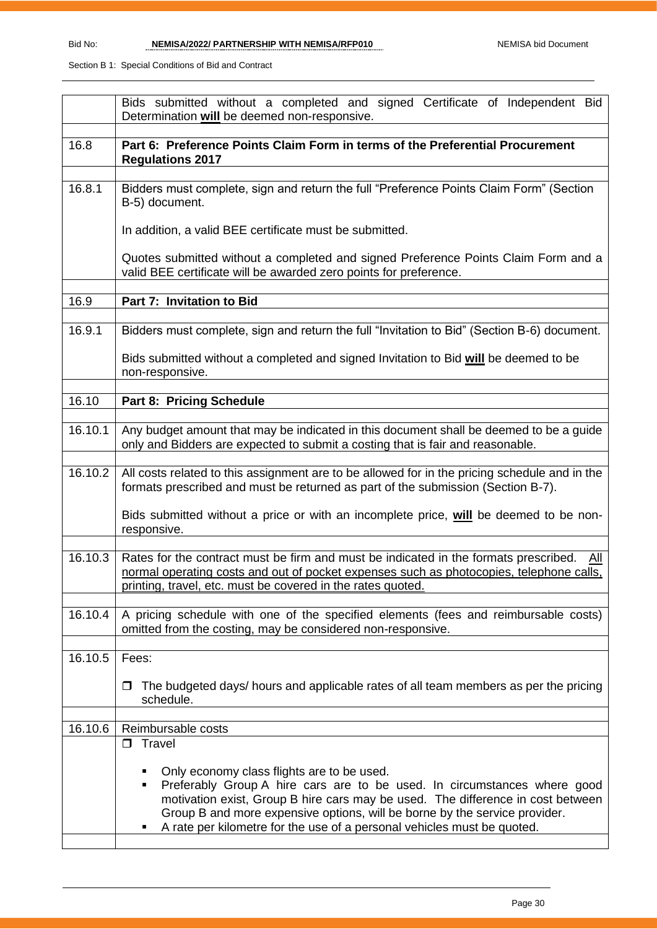|         | Bids submitted without a completed and signed Certificate of Independent Bid<br>Determination will be deemed non-responsive.                                                                                                                                                                                                                                            |
|---------|-------------------------------------------------------------------------------------------------------------------------------------------------------------------------------------------------------------------------------------------------------------------------------------------------------------------------------------------------------------------------|
| 16.8    | Part 6: Preference Points Claim Form in terms of the Preferential Procurement<br><b>Regulations 2017</b>                                                                                                                                                                                                                                                                |
| 16.8.1  | Bidders must complete, sign and return the full "Preference Points Claim Form" (Section<br>B-5) document.                                                                                                                                                                                                                                                               |
|         | In addition, a valid BEE certificate must be submitted.                                                                                                                                                                                                                                                                                                                 |
|         | Quotes submitted without a completed and signed Preference Points Claim Form and a<br>valid BEE certificate will be awarded zero points for preference.                                                                                                                                                                                                                 |
| 16.9    | Part 7: Invitation to Bid                                                                                                                                                                                                                                                                                                                                               |
| 16.9.1  | Bidders must complete, sign and return the full "Invitation to Bid" (Section B-6) document.                                                                                                                                                                                                                                                                             |
|         | Bids submitted without a completed and signed Invitation to Bid will be deemed to be<br>non-responsive.                                                                                                                                                                                                                                                                 |
| 16.10   | Part 8: Pricing Schedule                                                                                                                                                                                                                                                                                                                                                |
| 16.10.1 | Any budget amount that may be indicated in this document shall be deemed to be a guide<br>only and Bidders are expected to submit a costing that is fair and reasonable.                                                                                                                                                                                                |
| 16.10.2 | All costs related to this assignment are to be allowed for in the pricing schedule and in the<br>formats prescribed and must be returned as part of the submission (Section B-7).                                                                                                                                                                                       |
|         | Bids submitted without a price or with an incomplete price, will be deemed to be non-<br>responsive.                                                                                                                                                                                                                                                                    |
| 16.10.3 | Rates for the contract must be firm and must be indicated in the formats prescribed.<br>All<br>normal operating costs and out of pocket expenses such as photocopies, telephone calls,<br>printing, travel, etc. must be covered in the rates quoted.                                                                                                                   |
| 16.10.4 | A pricing schedule with one of the specified elements (fees and reimbursable costs)<br>omitted from the costing, may be considered non-responsive.                                                                                                                                                                                                                      |
| 16.10.5 | Fees:                                                                                                                                                                                                                                                                                                                                                                   |
|         | The budgeted days/ hours and applicable rates of all team members as per the pricing<br>schedule.                                                                                                                                                                                                                                                                       |
| 16.10.6 | Reimbursable costs                                                                                                                                                                                                                                                                                                                                                      |
|         | $\square$ Travel                                                                                                                                                                                                                                                                                                                                                        |
|         | Only economy class flights are to be used.<br>Preferably Group A hire cars are to be used. In circumstances where good<br>٠<br>motivation exist, Group B hire cars may be used. The difference in cost between<br>Group B and more expensive options, will be borne by the service provider.<br>A rate per kilometre for the use of a personal vehicles must be quoted. |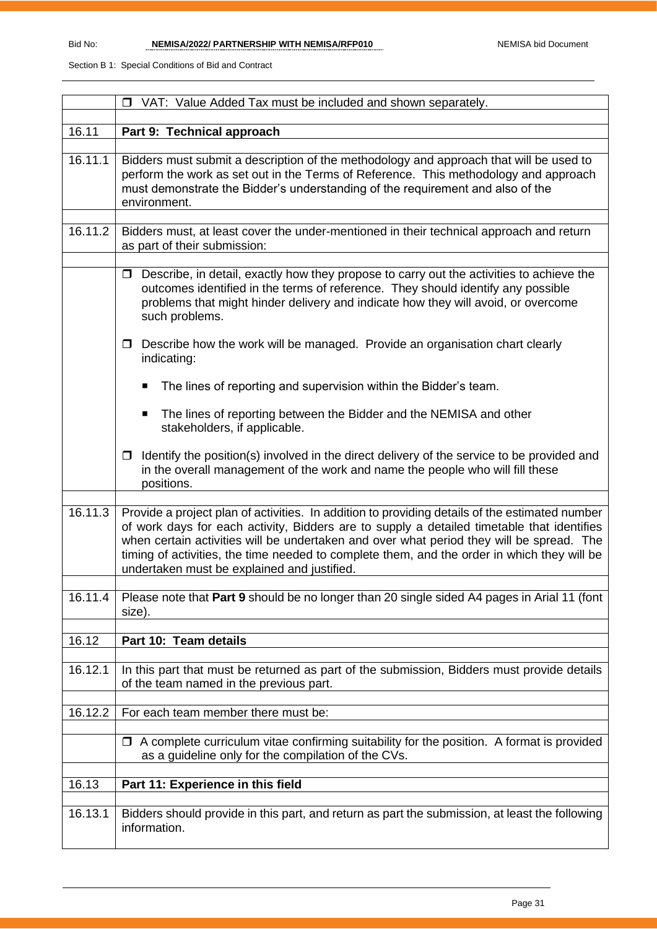|         | □ VAT: Value Added Tax must be included and shown separately.                                                                                                                                                                                                                                                                                                                                                                          |  |  |  |
|---------|----------------------------------------------------------------------------------------------------------------------------------------------------------------------------------------------------------------------------------------------------------------------------------------------------------------------------------------------------------------------------------------------------------------------------------------|--|--|--|
|         |                                                                                                                                                                                                                                                                                                                                                                                                                                        |  |  |  |
| 16.11   | Part 9: Technical approach                                                                                                                                                                                                                                                                                                                                                                                                             |  |  |  |
| 16.11.1 | Bidders must submit a description of the methodology and approach that will be used to<br>perform the work as set out in the Terms of Reference. This methodology and approach<br>must demonstrate the Bidder's understanding of the requirement and also of the<br>environment.                                                                                                                                                       |  |  |  |
| 16.11.2 | Bidders must, at least cover the under-mentioned in their technical approach and return<br>as part of their submission:                                                                                                                                                                                                                                                                                                                |  |  |  |
|         | Describe, in detail, exactly how they propose to carry out the activities to achieve the<br>$\Box$<br>outcomes identified in the terms of reference. They should identify any possible<br>problems that might hinder delivery and indicate how they will avoid, or overcome<br>such problems.                                                                                                                                          |  |  |  |
|         | Describe how the work will be managed. Provide an organisation chart clearly<br>$\Box$<br>indicating:                                                                                                                                                                                                                                                                                                                                  |  |  |  |
|         | The lines of reporting and supervision within the Bidder's team.<br>■                                                                                                                                                                                                                                                                                                                                                                  |  |  |  |
|         | The lines of reporting between the Bidder and the NEMISA and other<br>$\blacksquare$<br>stakeholders, if applicable.                                                                                                                                                                                                                                                                                                                   |  |  |  |
|         | Identify the position(s) involved in the direct delivery of the service to be provided and<br>$\Box$<br>in the overall management of the work and name the people who will fill these<br>positions.                                                                                                                                                                                                                                    |  |  |  |
| 16.11.3 | Provide a project plan of activities. In addition to providing details of the estimated number<br>of work days for each activity, Bidders are to supply a detailed timetable that identifies<br>when certain activities will be undertaken and over what period they will be spread. The<br>timing of activities, the time needed to complete them, and the order in which they will be<br>undertaken must be explained and justified. |  |  |  |
| 16.11.4 | Please note that Part 9 should be no longer than 20 single sided A4 pages in Arial 11 (font<br>size).                                                                                                                                                                                                                                                                                                                                  |  |  |  |
| 16.12   | Part 10: Team details                                                                                                                                                                                                                                                                                                                                                                                                                  |  |  |  |
|         |                                                                                                                                                                                                                                                                                                                                                                                                                                        |  |  |  |
| 16.12.1 | In this part that must be returned as part of the submission, Bidders must provide details<br>of the team named in the previous part.                                                                                                                                                                                                                                                                                                  |  |  |  |
| 16.12.2 | For each team member there must be:                                                                                                                                                                                                                                                                                                                                                                                                    |  |  |  |
|         | $\Box$ A complete curriculum vitae confirming suitability for the position. A format is provided<br>as a guideline only for the compilation of the CVs.                                                                                                                                                                                                                                                                                |  |  |  |
| 16.13   | Part 11: Experience in this field                                                                                                                                                                                                                                                                                                                                                                                                      |  |  |  |
| 16.13.1 | Bidders should provide in this part, and return as part the submission, at least the following<br>information.                                                                                                                                                                                                                                                                                                                         |  |  |  |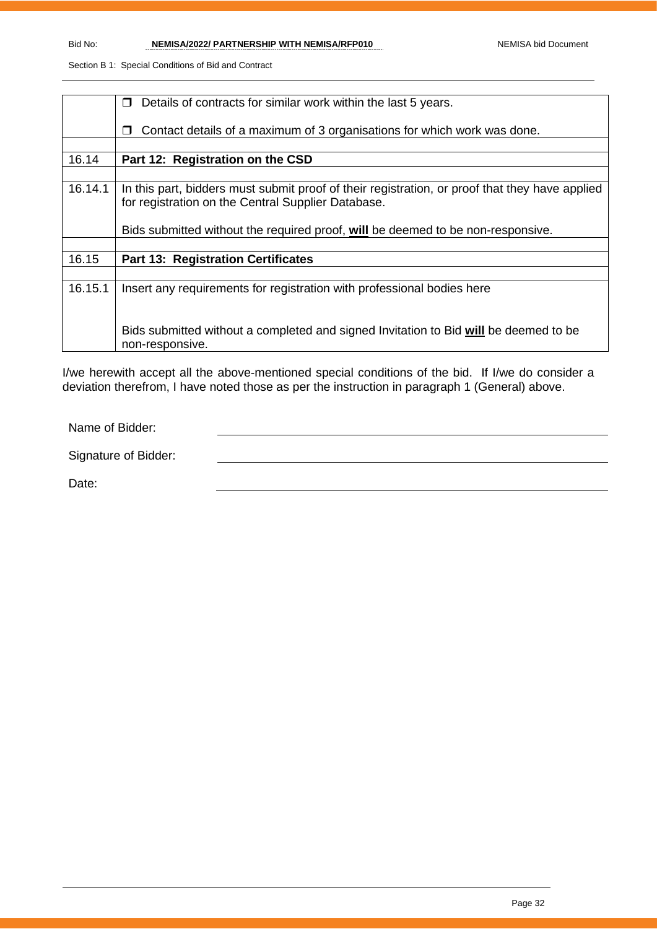|         | Details of contracts for similar work within the last 5 years.<br>$\Box$                       |  |  |  |
|---------|------------------------------------------------------------------------------------------------|--|--|--|
|         |                                                                                                |  |  |  |
|         | Contact details of a maximum of 3 organisations for which work was done.<br>$\Box$             |  |  |  |
|         |                                                                                                |  |  |  |
| 16.14   | Part 12: Registration on the CSD                                                               |  |  |  |
|         |                                                                                                |  |  |  |
|         |                                                                                                |  |  |  |
| 16.14.1 | In this part, bidders must submit proof of their registration, or proof that they have applied |  |  |  |
|         | for registration on the Central Supplier Database.                                             |  |  |  |
|         |                                                                                                |  |  |  |
|         |                                                                                                |  |  |  |
|         | Bids submitted without the required proof, will be deemed to be non-responsive.                |  |  |  |
|         |                                                                                                |  |  |  |
| 16.15   | <b>Part 13: Registration Certificates</b>                                                      |  |  |  |
|         |                                                                                                |  |  |  |
| 16.15.1 | Insert any requirements for registration with professional bodies here                         |  |  |  |
|         |                                                                                                |  |  |  |
|         |                                                                                                |  |  |  |
|         |                                                                                                |  |  |  |
|         | Bids submitted without a completed and signed Invitation to Bid will be deemed to be           |  |  |  |
|         |                                                                                                |  |  |  |
|         | non-responsive.                                                                                |  |  |  |

I/we herewith accept all the above-mentioned special conditions of the bid. If I/we do consider a deviation therefrom, I have noted those as per the instruction in paragraph 1 (General) above.

Name of Bidder:

Signature of Bidder:

Date: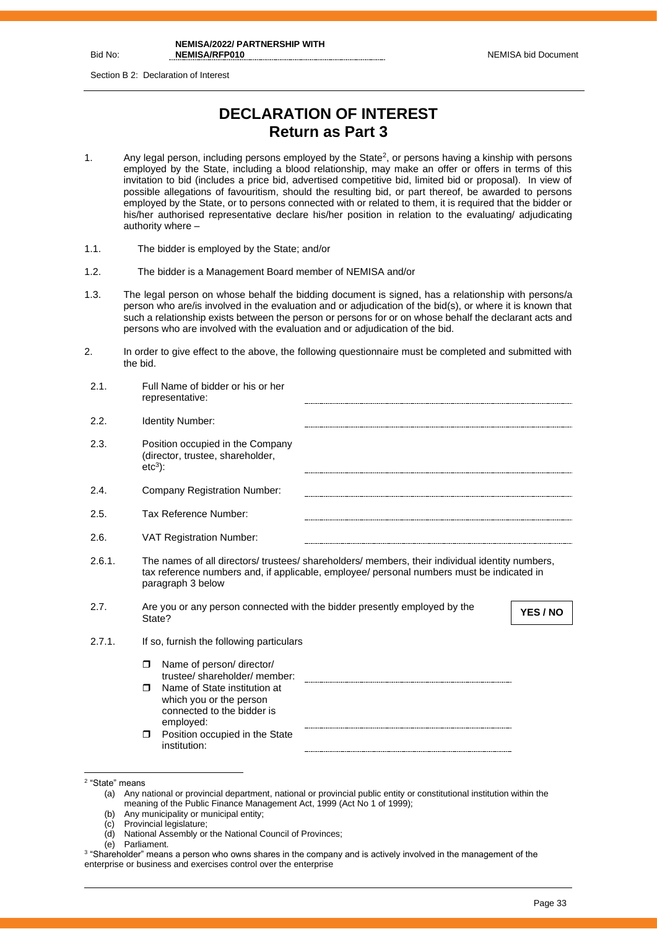Bid No:

Section B 2: Declaration of Interest

## **DECLARATION OF INTEREST Return as Part 3**

- 1. Any legal person, including persons employed by the State<sup>2</sup>, or persons having a kinship with persons employed by the State, including a blood relationship, may make an offer or offers in terms of this invitation to bid (includes a price bid, advertised competitive bid, limited bid or proposal). In view of possible allegations of favouritism, should the resulting bid, or part thereof, be awarded to persons employed by the State, or to persons connected with or related to them, it is required that the bidder or his/her authorised representative declare his/her position in relation to the evaluating/ adjudicating authority where –
- 1.1. The bidder is employed by the State; and/or
- 1.2. The bidder is a Management Board member of NEMISA and/or
- 1.3. The legal person on whose behalf the bidding document is signed, has a relationship with persons/a person who are/is involved in the evaluation and or adjudication of the bid(s), or where it is known that such a relationship exists between the person or persons for or on whose behalf the declarant acts and persons who are involved with the evaluation and or adjudication of the bid.
- 2. In order to give effect to the above, the following questionnaire must be completed and submitted with the bid.

| 2.1.   | Full Name of bidder or his or her<br>representative:                                                                                                                                                              |
|--------|-------------------------------------------------------------------------------------------------------------------------------------------------------------------------------------------------------------------|
| 2.2.   | Identity Number:                                                                                                                                                                                                  |
| 2.3.   | Position occupied in the Company<br>(director, trustee, shareholder,<br>$etc3$ :                                                                                                                                  |
| 2.4.   | Company Registration Number:                                                                                                                                                                                      |
| 2.5.   | Tax Reference Number:                                                                                                                                                                                             |
| 2.6.   | <b>VAT Registration Number:</b>                                                                                                                                                                                   |
| 2.6.1. | The names of all directors/ trustees/ shareholders/ members, their individual identity numbers,<br>tax reference numbers and, if applicable, employee/ personal numbers must be indicated in<br>paragraph 3 below |
| 2.7.   | Are you or any person connected with the bidder presently employed by the<br>YES / NO<br>State?                                                                                                                   |
| 2.7.1. | If so, furnish the following particulars                                                                                                                                                                          |
|        | Name of person/ director/<br>$\Box$<br>trustee/ shareholder/ member:<br>Name of State institution at<br>⊓<br>which you or the person<br>connected to the bidder is<br>employed:                                   |
|        | Position occupied in the State<br>$\Box$<br>institution:                                                                                                                                                          |

- (b) Any municipality or municipal entity;
- (c) Provincial legislature;
- (d) National Assembly or the National Council of Provinces;
- (e) Parliament.
- $^3$  "Shareholder" means a person who owns shares in the company and is actively involved in the management of the enterprise or business and exercises control over the enterprise

<sup>2</sup> "State" means

<sup>(</sup>a) Any national or provincial department, national or provincial public entity or constitutional institution within the meaning of the Public Finance Management Act, 1999 (Act No 1 of 1999);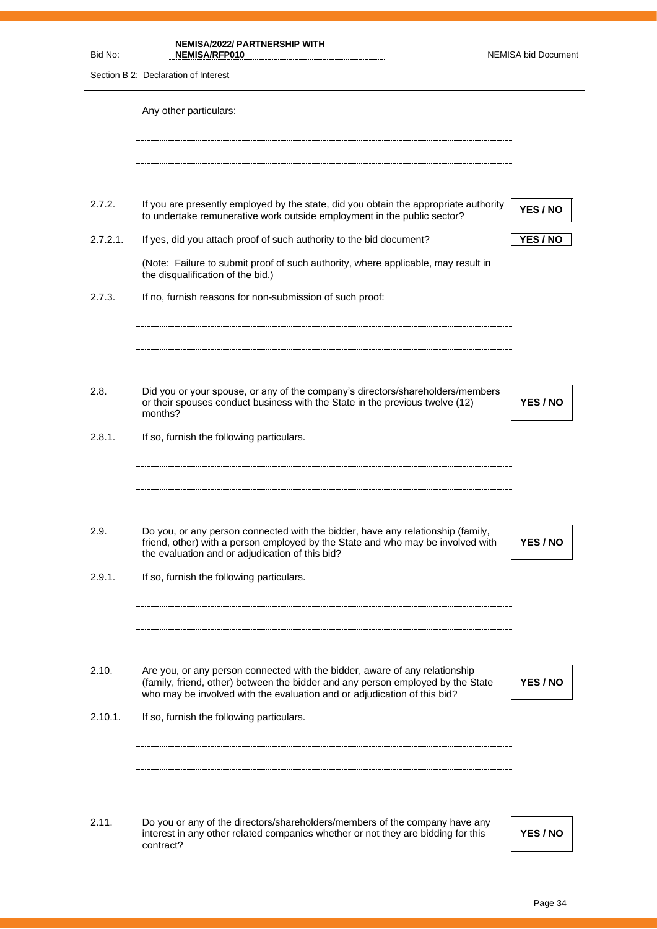| Bid No:          | <b>NEMISA/2022/ PARTNERSHIP WITH</b><br>NEMISA/RFP010                                                                                                                                                                                                                                   | <b>NEMISA bid Document</b> |
|------------------|-----------------------------------------------------------------------------------------------------------------------------------------------------------------------------------------------------------------------------------------------------------------------------------------|----------------------------|
|                  | Section B 2: Declaration of Interest                                                                                                                                                                                                                                                    |                            |
|                  | Any other particulars:                                                                                                                                                                                                                                                                  |                            |
| 2.7.2.           | If you are presently employed by the state, did you obtain the appropriate authority<br>to undertake remunerative work outside employment in the public sector?                                                                                                                         | YES / NO                   |
| $2.7.2.1$ .      | If yes, did you attach proof of such authority to the bid document?                                                                                                                                                                                                                     | YES / NO                   |
|                  | (Note: Failure to submit proof of such authority, where applicable, may result in<br>the disqualification of the bid.)                                                                                                                                                                  |                            |
| 2.7.3.           | If no, furnish reasons for non-submission of such proof:                                                                                                                                                                                                                                |                            |
| 2.8.             | Did you or your spouse, or any of the company's directors/shareholders/members<br>or their spouses conduct business with the State in the previous twelve (12)<br>months?                                                                                                               | YES / NO                   |
| 2.8.1.           | If so, furnish the following particulars.                                                                                                                                                                                                                                               |                            |
| 2.9.<br>2.9.1.   | Do you, or any person connected with the bidder, have any relationship (family,<br>friend, other) with a person employed by the State and who may be involved with<br>the evaluation and or adjudication of this bid?<br>If so, furnish the following particulars.                      | YES / NO                   |
| 2.10.<br>2.10.1. | Are you, or any person connected with the bidder, aware of any relationship<br>(family, friend, other) between the bidder and any person employed by the State<br>who may be involved with the evaluation and or adjudication of this bid?<br>If so, furnish the following particulars. | YES / NO                   |
|                  |                                                                                                                                                                                                                                                                                         |                            |
| 2.11.            | Do you or any of the directors/shareholders/members of the company have any<br>interest in any other related companies whether or not they are bidding for this<br>contract?                                                                                                            | YES / NO                   |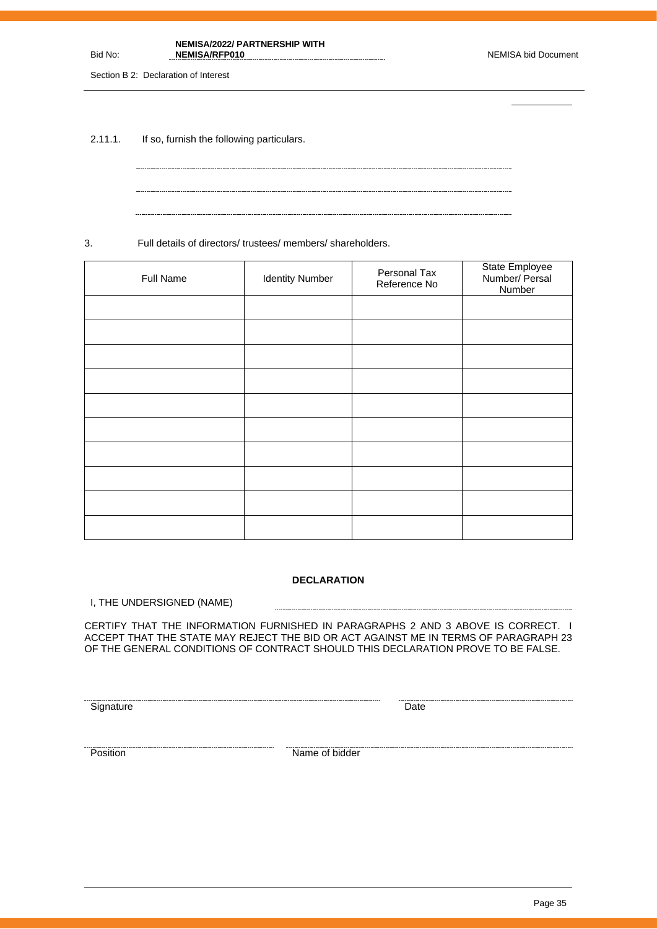Page 35

**NEMISA/2022/ PARTNERSHIP WITH NEMISA/RFP010** NEMISA bid Document

Section B 2: Declaration of Interest

Bid No:

2.11.1. If so, furnish the following particulars.

3. Full details of directors/ trustees/ members/ shareholders.

| Full Name | <b>Identity Number</b> | Personal Tax<br>Reference No | State Employee<br>Number/ Persal<br>Number |
|-----------|------------------------|------------------------------|--------------------------------------------|
|           |                        |                              |                                            |
|           |                        |                              |                                            |
|           |                        |                              |                                            |
|           |                        |                              |                                            |
|           |                        |                              |                                            |
|           |                        |                              |                                            |
|           |                        |                              |                                            |
|           |                        |                              |                                            |
|           |                        |                              |                                            |
|           |                        |                              |                                            |

#### **DECLARATION**

I, THE UNDERSIGNED (NAME)

CERTIFY THAT THE INFORMATION FURNISHED IN PARAGRAPHS 2 AND 3 ABOVE IS CORRECT. I ACCEPT THAT THE STATE MAY REJECT THE BID OR ACT AGAINST ME IN TERMS OF PARAGRAPH 23 OF THE GENERAL CONDITIONS OF CONTRACT SHOULD THIS DECLARATION PROVE TO BE FALSE.

-----------------------

<u>Signature</u> Date **Construction Construction** Date **Construction** Date **Construction** Date

<u>Position</u><br>
Position **Name of bidder**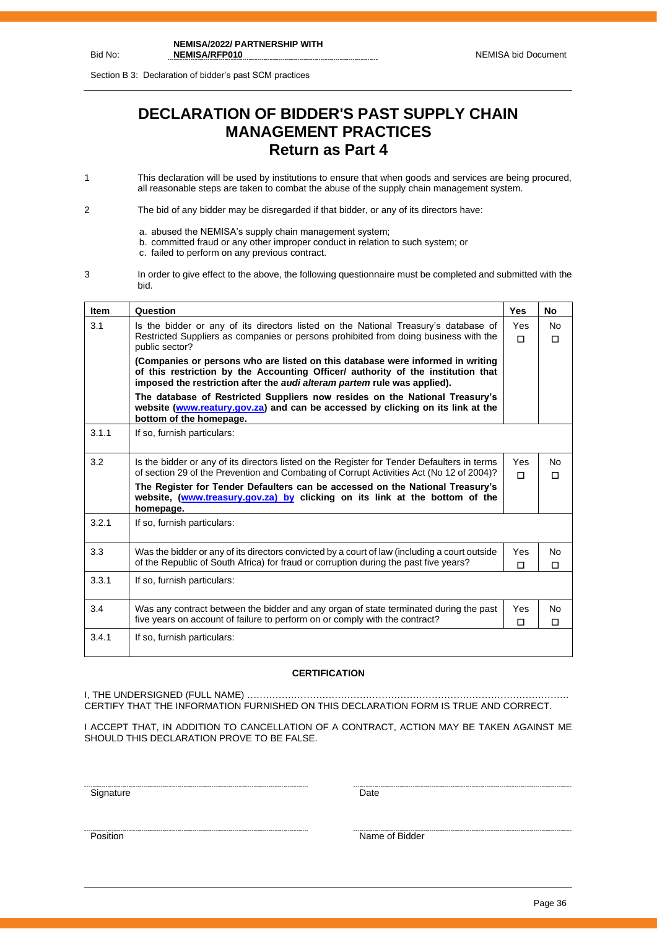Section B 3: Declaration of bidder's past SCM practices

## **DECLARATION OF BIDDER'S PAST SUPPLY CHAIN MANAGEMENT PRACTICES Return as Part 4**

1 This declaration will be used by institutions to ensure that when goods and services are being procured, all reasonable steps are taken to combat the abuse of the supply chain management system.

2 The bid of any bidder may be disregarded if that bidder, or any of its directors have:

- a. abused the NEMISA's supply chain management system;
- b. committed fraud or any other improper conduct in relation to such system; or
- c. failed to perform on any previous contract.
- 3 In order to give effect to the above, the following questionnaire must be completed and submitted with the bid.

| <b>Item</b> | Question                                                                                                                                                                                                                                                         | <b>Yes</b>      | No                  |
|-------------|------------------------------------------------------------------------------------------------------------------------------------------------------------------------------------------------------------------------------------------------------------------|-----------------|---------------------|
| 3.1         | Is the bidder or any of its directors listed on the National Treasury's database of<br>Restricted Suppliers as companies or persons prohibited from doing business with the                                                                                      | Yes<br>$\Box$   | <b>No</b><br>$\Box$ |
|             | public sector?<br>(Companies or persons who are listed on this database were informed in writing<br>of this restriction by the Accounting Officer/ authority of the institution that<br>imposed the restriction after the audi alteram partem rule was applied). |                 |                     |
|             | The database of Restricted Suppliers now resides on the National Treasury's<br>website (www.reatury.gov.za) and can be accessed by clicking on its link at the<br>bottom of the homepage.                                                                        |                 |                     |
| 3.1.1       | If so, furnish particulars:                                                                                                                                                                                                                                      |                 |                     |
| 3.2         | Is the bidder or any of its directors listed on the Register for Tender Defaulters in terms<br>of section 29 of the Prevention and Combating of Corrupt Activities Act (No 12 of 2004)?                                                                          | Yes<br>п        | <b>No</b><br>$\Box$ |
|             | The Register for Tender Defaulters can be accessed on the National Treasury's<br>website, (www.treasury.gov.za) by clicking on its link at the bottom of the<br>homepage.                                                                                        |                 |                     |
| 3.2.1       | If so, furnish particulars:                                                                                                                                                                                                                                      |                 |                     |
| 3.3         | Was the bidder or any of its directors convicted by a court of law (including a court outside<br>of the Republic of South Africa) for fraud or corruption during the past five years?                                                                            | Yes<br>п        | No<br>П             |
| 3.3.1       | If so, furnish particulars:                                                                                                                                                                                                                                      |                 |                     |
| 3.4         | Was any contract between the bidder and any organ of state terminated during the past<br>five years on account of failure to perform on or comply with the contract?                                                                                             | <b>Yes</b><br>П | <b>No</b><br>$\Box$ |
| 3.4.1       | If so, furnish particulars:                                                                                                                                                                                                                                      |                 |                     |

#### **CERTIFICATION**

I, THE UNDERSIGNED (FULL NAME) …………………………………………………………………………………………. CERTIFY THAT THE INFORMATION FURNISHED ON THIS DECLARATION FORM IS TRUE AND CORRECT.

I ACCEPT THAT, IN ADDITION TO CANCELLATION OF A CONTRACT, ACTION MAY BE TAKEN AGAINST ME SHOULD THIS DECLARATION PROVE TO BE FALSE.

<u>Signature</u> Date **Date** 

<u>Position</u> Name of Bidder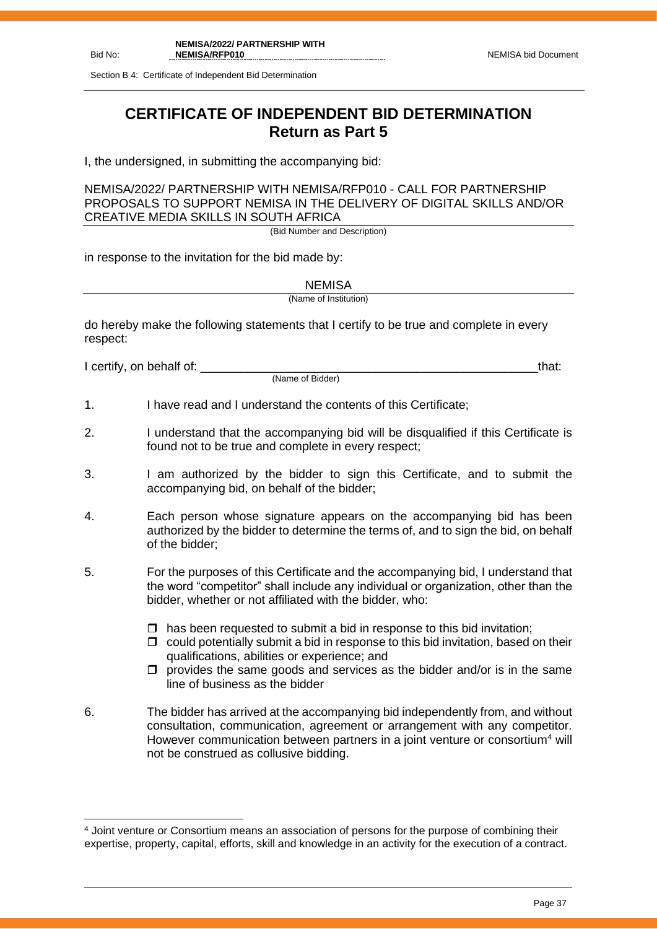Section B 4: Certificate of Independent Bid Determination

## **CERTIFICATE OF INDEPENDENT BID DETERMINATION Return as Part 5**

I, the undersigned, in submitting the accompanying bid:

NEMISA/2022/ PARTNERSHIP WITH NEMISA/RFP010 - CALL FOR PARTNERSHIP PROPOSALS TO SUPPORT NEMISA IN THE DELIVERY OF DIGITAL SKILLS AND/OR CREATIVE MEDIA SKILLS IN SOUTH AFRICA

(Bid Number and Description)

in response to the invitation for the bid made by:

**NEMISA** 

(Name of Institution)

do hereby make the following statements that I certify to be true and complete in every respect:

I certify, on behalf of: that:  $\blacksquare$ 

(Name of Bidder)

- 1. I have read and I understand the contents of this Certificate;
- 2. I understand that the accompanying bid will be disqualified if this Certificate is found not to be true and complete in every respect;
- 3. I am authorized by the bidder to sign this Certificate, and to submit the accompanying bid, on behalf of the bidder;
- 4. Each person whose signature appears on the accompanying bid has been authorized by the bidder to determine the terms of, and to sign the bid, on behalf of the bidder;
- 5. For the purposes of this Certificate and the accompanying bid, I understand that the word "competitor" shall include any individual or organization, other than the bidder, whether or not affiliated with the bidder, who:
	- $\Box$  has been requested to submit a bid in response to this bid invitation;
	- $\Box$  could potentially submit a bid in response to this bid invitation, based on their qualifications, abilities or experience; and
	- $\Box$  provides the same goods and services as the bidder and/or is in the same line of business as the bidder
- 6. The bidder has arrived at the accompanying bid independently from, and without consultation, communication, agreement or arrangement with any competitor. However communication between partners in a joint venture or consortium<sup>4</sup> will not be construed as collusive bidding.

<sup>4</sup> Joint venture or Consortium means an association of persons for the purpose of combining their expertise, property, capital, efforts, skill and knowledge in an activity for the execution of a contract.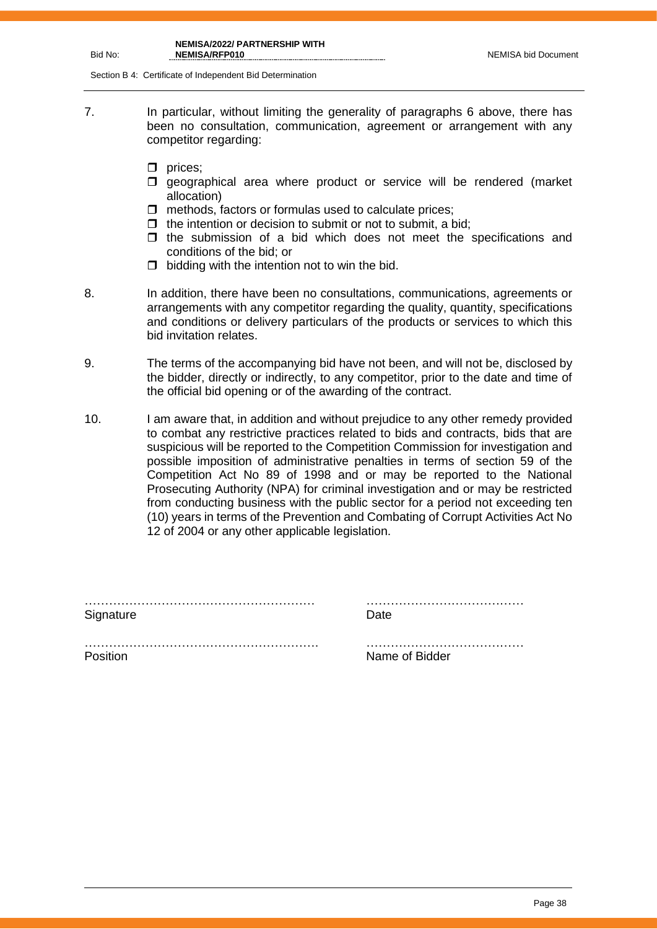#### **NEMISA/2022/ PARTNERSHIP WITH NEMISA/RFP010** NEMISA bid Document

Section B 4: Certificate of Independent Bid Determination

- 7. In particular, without limiting the generality of paragraphs 6 above, there has been no consultation, communication, agreement or arrangement with any competitor regarding:
	- $\Box$  prices;
	- $\square$  geographical area where product or service will be rendered (market allocation)
	- $\Box$  methods, factors or formulas used to calculate prices;
	- $\Box$  the intention or decision to submit or not to submit, a bid;
	- $\Box$  the submission of a bid which does not meet the specifications and conditions of the bid; or
	- $\Box$  bidding with the intention not to win the bid.
- 

8. In addition, there have been no consultations, communications, agreements or arrangements with any competitor regarding the quality, quantity, specifications and conditions or delivery particulars of the products or services to which this bid invitation relates.

- 9. The terms of the accompanying bid have not been, and will not be, disclosed by the bidder, directly or indirectly, to any competitor, prior to the date and time of the official bid opening or of the awarding of the contract.
- 10. I am aware that, in addition and without prejudice to any other remedy provided to combat any restrictive practices related to bids and contracts, bids that are suspicious will be reported to the Competition Commission for investigation and possible imposition of administrative penalties in terms of section 59 of the Competition Act No 89 of 1998 and or may be reported to the National Prosecuting Authority (NPA) for criminal investigation and or may be restricted from conducting business with the public sector for a period not exceeding ten (10) years in terms of the Prevention and Combating of Corrupt Activities Act No 12 of 2004 or any other applicable legislation.

| Signature | Date           |
|-----------|----------------|
|           |                |
| Position  | Name of Bidder |

Bid No: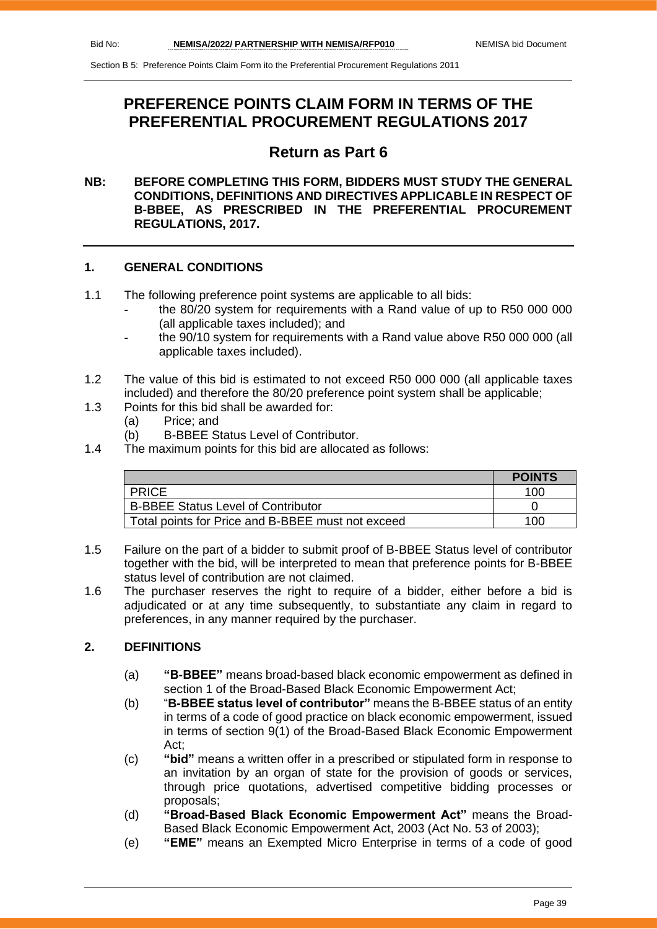## **PREFERENCE POINTS CLAIM FORM IN TERMS OF THE PREFERENTIAL PROCUREMENT REGULATIONS 2017**

## **Return as Part 6**

#### **NB: BEFORE COMPLETING THIS FORM, BIDDERS MUST STUDY THE GENERAL CONDITIONS, DEFINITIONS AND DIRECTIVES APPLICABLE IN RESPECT OF B-BBEE, AS PRESCRIBED IN THE PREFERENTIAL PROCUREMENT REGULATIONS, 2017.**

#### **1. GENERAL CONDITIONS**

- 1.1 The following preference point systems are applicable to all bids:
	- the 80/20 system for requirements with a Rand value of up to R50 000 000 (all applicable taxes included); and
	- the 90/10 system for requirements with a Rand value above R50 000 000 (all applicable taxes included).
- 1.2 The value of this bid is estimated to not exceed R50 000 000 (all applicable taxes included) and therefore the 80/20 preference point system shall be applicable;
- 1.3 Points for this bid shall be awarded for:
	- (a) Price; and
	- (b) B-BBEE Status Level of Contributor.
- 1.4 The maximum points for this bid are allocated as follows:

|                                                   | <b>POINTS</b> |
|---------------------------------------------------|---------------|
| <b>PRICE</b>                                      | 100           |
| <b>B-BBEE Status Level of Contributor</b>         |               |
| Total points for Price and B-BBEE must not exceed | 100           |

- 1.5 Failure on the part of a bidder to submit proof of B-BBEE Status level of contributor together with the bid, will be interpreted to mean that preference points for B-BBEE status level of contribution are not claimed.
- 1.6 The purchaser reserves the right to require of a bidder, either before a bid is adjudicated or at any time subsequently, to substantiate any claim in regard to preferences, in any manner required by the purchaser.

#### **2. DEFINITIONS**

- (a) **"B-BBEE"** means broad-based black economic empowerment as defined in section 1 of the Broad-Based Black Economic Empowerment Act;
- (b) "**B-BBEE status level of contributor"** means the B-BBEE status of an entity in terms of a code of good practice on black economic empowerment, issued in terms of section 9(1) of the Broad-Based Black Economic Empowerment Act;
- (c) **"bid"** means a written offer in a prescribed or stipulated form in response to an invitation by an organ of state for the provision of goods or services, through price quotations, advertised competitive bidding processes or proposals;
- (d) **"Broad-Based Black Economic Empowerment Act"** means the Broad-Based Black Economic Empowerment Act, 2003 (Act No. 53 of 2003);
- (e) **"EME"** means an Exempted Micro Enterprise in terms of a code of good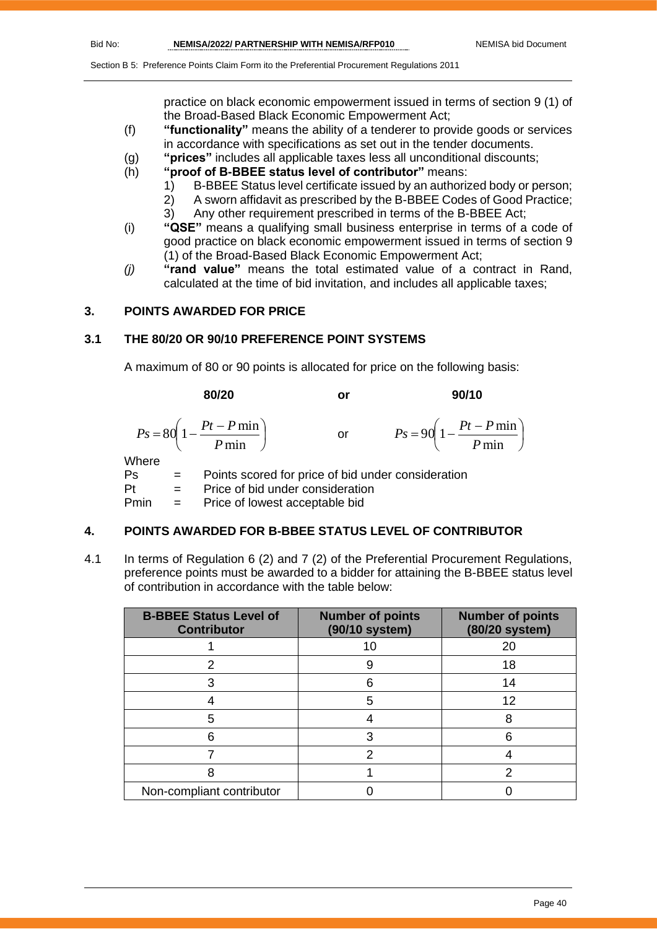practice on black economic empowerment issued in terms of section 9 (1) of the Broad-Based Black Economic Empowerment Act;

- (f) **"functionality"** means the ability of a tenderer to provide goods or services in accordance with specifications as set out in the tender documents.
- (g) **"prices"** includes all applicable taxes less all unconditional discounts;
- (h) **"proof of B-BBEE status level of contributor"** means:
	- 1) B-BBEE Status level certificate issued by an authorized body or person;
		- 2) A sworn affidavit as prescribed by the B-BBEE Codes of Good Practice;
	- 3) Any other requirement prescribed in terms of the B-BBEE Act;
- (i) **"QSE"** means a qualifying small business enterprise in terms of a code of good practice on black economic empowerment issued in terms of section 9 (1) of the Broad-Based Black Economic Empowerment Act;
- *(j)* **"rand value"** means the total estimated value of a contract in Rand, calculated at the time of bid invitation, and includes all applicable taxes;

#### **3. POINTS AWARDED FOR PRICE**

#### **3.1 THE 80/20 OR 90/10 PREFERENCE POINT SYSTEMS**

A maximum of 80 or 90 points is allocated for price on the following basis:

|                    | 80/20                                                                            | or            | 90/10                                                     |
|--------------------|----------------------------------------------------------------------------------|---------------|-----------------------------------------------------------|
|                    | $P s = 80 \left( 1 - \frac{Pt - P \min P}{ \min} \right)$                        | $\mathsf{or}$ | $P_s = 90 \left( 1 - \frac{Pt - P \min P}{ \min} \right)$ |
| Where<br>Ps<br>D±. | $\sum_{i=1}^{n} a_i$ of $\sum_{i=1}^{n} a_i$ is denoted and $\sum_{i=1}^{n} a_i$ |               | Points scored for price of bid under consideration        |

 $Pt =$  Price of bid under consideration

Pmin = Price of lowest acceptable bid

#### **4. POINTS AWARDED FOR B-BBEE STATUS LEVEL OF CONTRIBUTOR**

4.1 In terms of Regulation 6 (2) and 7 (2) of the Preferential Procurement Regulations, preference points must be awarded to a bidder for attaining the B-BBEE status level of contribution in accordance with the table below:

| <b>B-BBEE Status Level of</b><br><b>Contributor</b> | <b>Number of points</b><br>(90/10 system) | <b>Number of points</b><br>(80/20 system) |
|-----------------------------------------------------|-------------------------------------------|-------------------------------------------|
|                                                     | 10                                        | 20                                        |
|                                                     |                                           | 18                                        |
|                                                     | հ                                         | 14                                        |
|                                                     | 5                                         | 12                                        |
| 5                                                   |                                           | 8                                         |
|                                                     |                                           |                                           |
|                                                     | າ                                         |                                           |
|                                                     |                                           | າ                                         |
| Non-compliant contributor                           |                                           |                                           |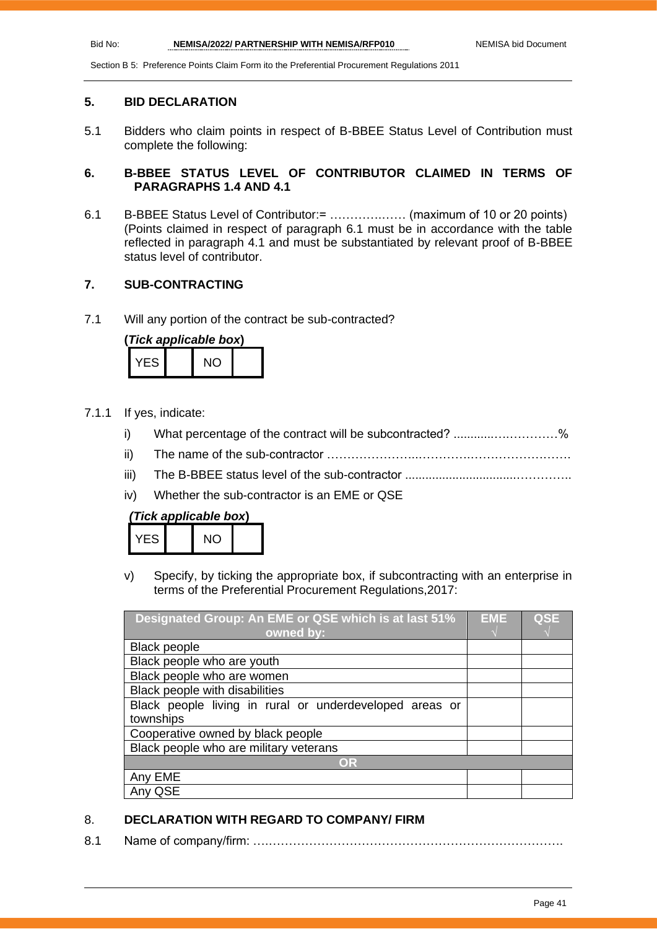#### **5. BID DECLARATION**

5.1 Bidders who claim points in respect of B-BBEE Status Level of Contribution must complete the following:

#### **6. B-BBEE STATUS LEVEL OF CONTRIBUTOR CLAIMED IN TERMS OF PARAGRAPHS 1.4 AND 4.1**

6.1 B-BBEE Status Level of Contributor:= ………….…… (maximum of 10 or 20 points) (Points claimed in respect of paragraph 6.1 must be in accordance with the table reflected in paragraph 4.1 and must be substantiated by relevant proof of B-BBEE status level of contributor.

#### **7. SUB-CONTRACTING**

7.1 Will any portion of the contract be sub-contracted?

| (Tick applicable box) |  |     |  |  |  |
|-----------------------|--|-----|--|--|--|
| YFS.                  |  | NO. |  |  |  |

- 7.1.1 If yes, indicate:
	- i) What percentage of the contract will be subcontracted? ..........................%
	- ii) The name of the sub-contractor …………………..………….…………………….
	- iii) The B-BBEE status level of the sub-contractor .................................…………..
	- iv) Whether the sub-contractor is an EME or QSE

| (Tick applicable box) |  |  |
|-----------------------|--|--|
|-----------------------|--|--|

| ES. |  |  |
|-----|--|--|
|     |  |  |

v) Specify, by ticking the appropriate box, if subcontracting with an enterprise in terms of the Preferential Procurement Regulations,2017:

| Designated Group: An EME or QSE which is at last 51%    |  | <b>QSE</b> |
|---------------------------------------------------------|--|------------|
| owned by:                                               |  |            |
| <b>Black people</b>                                     |  |            |
| Black people who are youth                              |  |            |
| Black people who are women                              |  |            |
| Black people with disabilities                          |  |            |
| Black people living in rural or underdeveloped areas or |  |            |
| townships                                               |  |            |
| Cooperative owned by black people                       |  |            |
| Black people who are military veterans                  |  |            |
| OR                                                      |  |            |
| Any EME                                                 |  |            |
| QSE                                                     |  |            |

#### 8. **DECLARATION WITH REGARD TO COMPANY/ FIRM**

8.1 Name of company/firm: ….……………………………………………………………….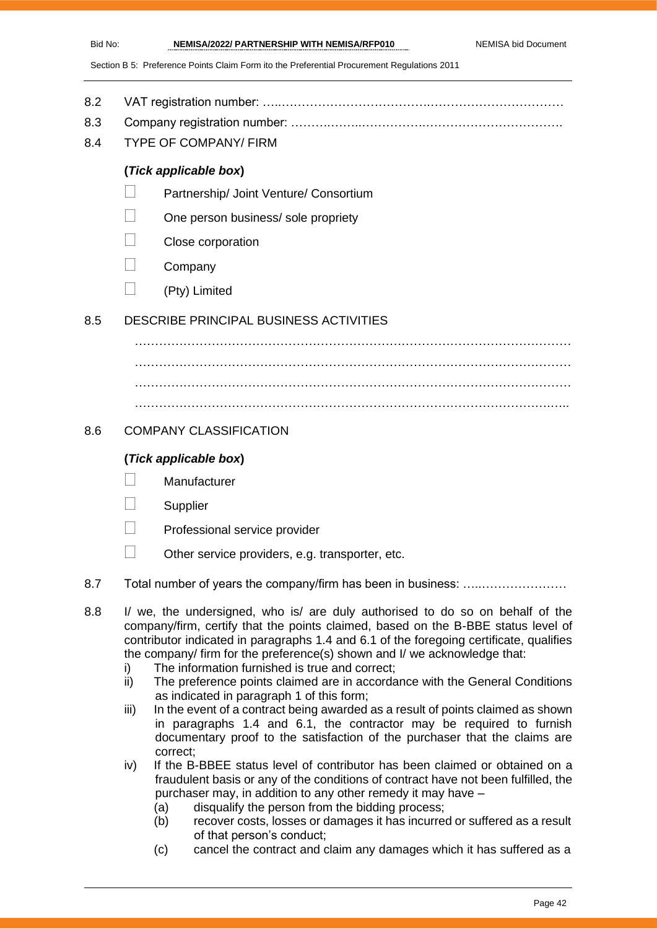- 8.2 VAT registration number: …..……………………………….……………………………
- 8.3 Company registration number: ……….……..…………….…………………………….
- 8.4 TYPE OF COMPANY/ FIRM

#### **(***Tick applicable box***)**

- Partnership/ Joint Venture/ Consortium
- One person business/ sole propriety
- Close corporation
- **Company**
- $\Box$  (Pty) Limited

#### 8.5 DESCRIBE PRINCIPAL BUSINESS ACTIVITIES

………………………………………………………………………………………………  $\mathcal{L}^{(n)}$ ……………………………………………………………………………………………… ………………………………………………………………………………………….…..

#### 8.6 COMPANY CLASSIFICATION

#### **(***Tick applicable box***)**

- **Manufacturer**
- **Supplier**
- Professional service provider
- $\Box$  Other service providers, e.g. transporter, etc.
- 8.7 Total number of years the company/firm has been in business: ….....................
- 8.8 I/ we, the undersigned, who is/ are duly authorised to do so on behalf of the company/firm, certify that the points claimed, based on the B-BBE status level of contributor indicated in paragraphs 1.4 and 6.1 of the foregoing certificate, qualifies the company/ firm for the preference(s) shown and I/ we acknowledge that:
	- i) The information furnished is true and correct;
	- ii) The preference points claimed are in accordance with the General Conditions as indicated in paragraph 1 of this form;
	- iii) In the event of a contract being awarded as a result of points claimed as shown in paragraphs 1.4 and 6.1, the contractor may be required to furnish documentary proof to the satisfaction of the purchaser that the claims are correct;
	- iv) If the B-BBEE status level of contributor has been claimed or obtained on a fraudulent basis or any of the conditions of contract have not been fulfilled, the purchaser may, in addition to any other remedy it may have –
		- (a) disqualify the person from the bidding process;
		- (b) recover costs, losses or damages it has incurred or suffered as a result of that person's conduct;
		- (c) cancel the contract and claim any damages which it has suffered as a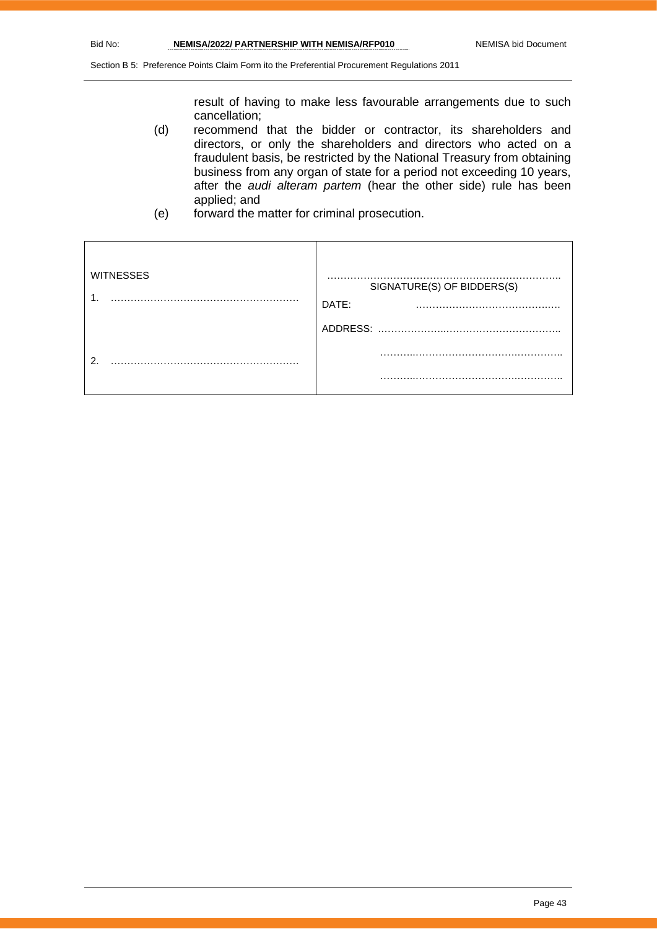result of having to make less favourable arrangements due to such cancellation;

- (d) recommend that the bidder or contractor, its shareholders and directors, or only the shareholders and directors who acted on a fraudulent basis, be restricted by the National Treasury from obtaining business from any organ of state for a period not exceeding 10 years, after the *audi alteram partem* (hear the other side) rule has been applied; and
- (e) forward the matter for criminal prosecution.

| <b>WITNESSES</b> | SIGNATURE(S) OF BIDDERS(S)<br>DATE:<br>$\cdots$ |
|------------------|-------------------------------------------------|
|                  | ADDRESS:                                        |
| റ                |                                                 |
|                  | .                                               |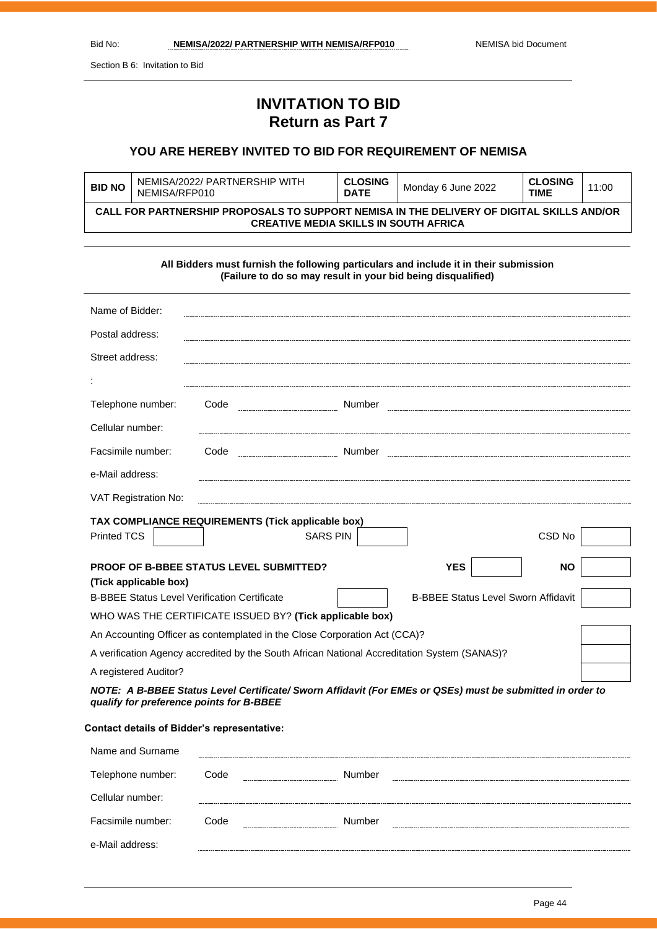Section B 6: Invitation to Bid

## **INVITATION TO BID Return as Part 7**

#### **YOU ARE HEREBY INVITED TO BID FOR REQUIREMENT OF NEMISA**

| <b>BID NO</b> | NEMISA/2022/ PARTNERSHIP WITH<br>NEMISA/REP010                                                                                            | <b>CLOSING</b><br><b>DATE</b> | Monday 6 June 2022 | <b>CLOSING</b><br><b>TIME</b> | 11:00 |  |
|---------------|-------------------------------------------------------------------------------------------------------------------------------------------|-------------------------------|--------------------|-------------------------------|-------|--|
|               | CALL FOR PARTNERSHIP PROPOSALS TO SUPPORT NEMISA IN THE DELIVERY OF DIGITAL SKILLS AND/OR<br><b>CREATIVE MEDIA SKILLS IN SOUTH AFRICA</b> |                               |                    |                               |       |  |

| All Bidders must furnish the following particulars and include it in their submission<br>(Failure to do so may result in your bid being disqualified) |                                                   |        |            |           |  |
|-------------------------------------------------------------------------------------------------------------------------------------------------------|---------------------------------------------------|--------|------------|-----------|--|
| Name of Bidder:                                                                                                                                       |                                                   |        |            |           |  |
| Postal address:                                                                                                                                       |                                                   |        |            |           |  |
| Street address:                                                                                                                                       |                                                   |        |            |           |  |
|                                                                                                                                                       |                                                   |        |            |           |  |
| Telephone number:                                                                                                                                     | Code                                              | Number |            |           |  |
| Cellular number:                                                                                                                                      |                                                   |        |            |           |  |
| Facsimile number:                                                                                                                                     | Code                                              | Number |            |           |  |
| e-Mail address:                                                                                                                                       |                                                   |        |            |           |  |
| VAT Registration No:                                                                                                                                  |                                                   |        |            |           |  |
|                                                                                                                                                       | TAX COMPLIANCE REQUIREMENTS (Tick applicable box) |        |            |           |  |
| <b>Printed TCS</b>                                                                                                                                    | <b>SARS PIN</b>                                   |        |            | CSD No    |  |
| PROOF OF B-BBEE STATUS LEVEL SUBMITTED?<br>(Tick applicable box)                                                                                      |                                                   |        | <b>YES</b> | <b>NO</b> |  |
| <b>B-BBEE Status Level Sworn Affidavit</b><br><b>B-BBEE Status Level Verification Certificate</b>                                                     |                                                   |        |            |           |  |
| WHO WAS THE CERTIFICATE ISSUED BY? (Tick applicable box)                                                                                              |                                                   |        |            |           |  |
| An Accounting Officer as contemplated in the Close Corporation Act (CCA)?                                                                             |                                                   |        |            |           |  |
| A verification Agency accredited by the South African National Accreditation System (SANAS)?                                                          |                                                   |        |            |           |  |
| A registered Auditor?                                                                                                                                 |                                                   |        |            |           |  |

*NOTE: A B-BBEE Status Level Certificate/ Sworn Affidavit (For EMEs or QSEs) must be submitted in order to qualify for preference points for B-BBEE*

#### **Contact details of Bidder's representative:**

| Name and Surname  |      |                      |        |        |
|-------------------|------|----------------------|--------|--------|
| Telephone number: | Code | -------------------- | Number |        |
| Cellular number:  |      |                      |        |        |
| Facsimile number: | Code |                      | Number | ------ |
| e-Mail address:   |      |                      |        |        |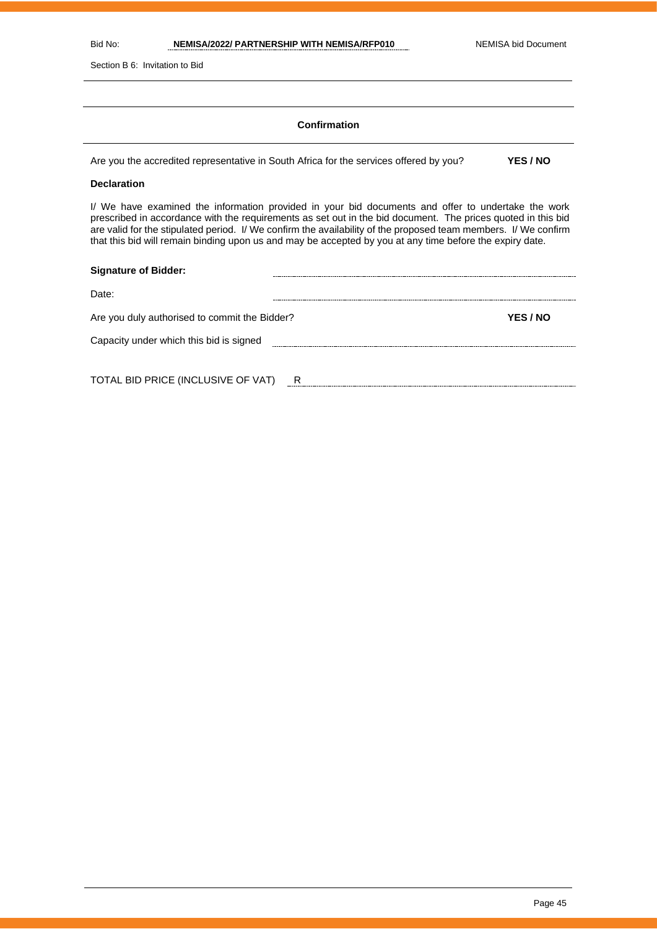Section B 6: Invitation to Bid

#### **Confirmation**

Are you the accredited representative in South Africa for the services offered by you? **YES / NO**

#### **Declaration**

I/ We have examined the information provided in your bid documents and offer to undertake the work prescribed in accordance with the requirements as set out in the bid document. The prices quoted in this bid are valid for the stipulated period. I/ We confirm the availability of the proposed team members. I/ We confirm that this bid will remain binding upon us and may be accepted by you at any time before the expiry date.

| <b>Signature of Bidder:</b>                   |   |  |  |                 |  |
|-----------------------------------------------|---|--|--|-----------------|--|
| Date:                                         |   |  |  |                 |  |
| Are you duly authorised to commit the Bidder? |   |  |  | <b>YES / NO</b> |  |
| Capacity under which this bid is signed       |   |  |  |                 |  |
|                                               |   |  |  |                 |  |
| TOTAL BID PRICE (INCLUSIVE OF VAT)            | R |  |  |                 |  |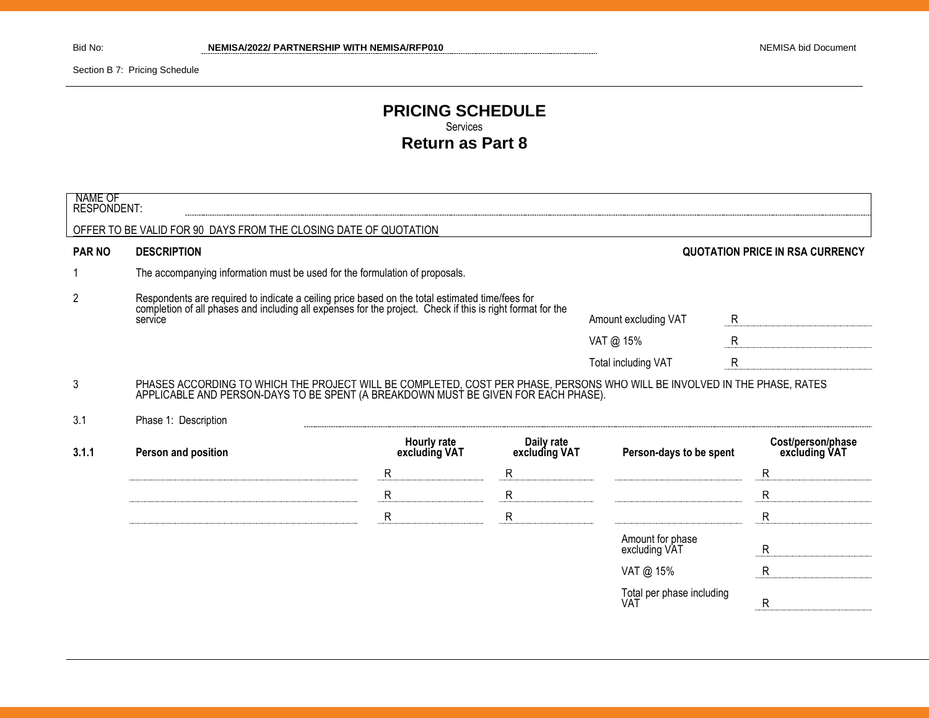Section B 7: Pricing Schedule

#### **PRICING SCHEDULE** Services **Return as Part 8**

| <b>NAME OF</b><br><b>RESPONDENT:</b> |                                                                                                                                                                                                                          |                              |                             |                                   |              |                                        |
|--------------------------------------|--------------------------------------------------------------------------------------------------------------------------------------------------------------------------------------------------------------------------|------------------------------|-----------------------------|-----------------------------------|--------------|----------------------------------------|
|                                      | OFFER TO BE VALID FOR 90 DAYS FROM THE CLOSING DATE OF QUOTATION                                                                                                                                                         |                              |                             |                                   |              |                                        |
| <b>PAR NO</b>                        | <b>DESCRIPTION</b>                                                                                                                                                                                                       |                              |                             |                                   |              | <b>QUOTATION PRICE IN RSA CURRENCY</b> |
|                                      | The accompanying information must be used for the formulation of proposals.                                                                                                                                              |                              |                             |                                   |              |                                        |
| 2                                    | Respondents are required to indicate a ceiling price based on the total estimated time/fees for<br>completion of all phases and including all expenses for the project. Check if this is right format for the<br>service |                              |                             | Amount excluding VAT              | R            |                                        |
|                                      |                                                                                                                                                                                                                          |                              |                             | VAT @ 15%                         | $\mathsf{R}$ |                                        |
|                                      |                                                                                                                                                                                                                          |                              |                             | Total including VAT               | $\mathsf{R}$ |                                        |
| 3                                    | PHASES ACCORDING TO WHICH THE PROJECT WILL BE COMPLETED, COST PER PHASE, PERSONS WHO WILL BE INVOLVED IN THE PHASE, RATES<br>APPLICABLE AND PERSON-DAYS TO BE SPENT (A BREAKDOWN MUST BE GIVEN FOR EACH PHASE).          |                              |                             |                                   |              |                                        |
| 3.1                                  | Phase 1: Description                                                                                                                                                                                                     |                              |                             |                                   |              |                                        |
| 3.1.1                                | Person and position                                                                                                                                                                                                      | Hourly rate<br>excluding VAT | Daily rate<br>excluding VAT | Person-days to be spent           |              | Cost/person/phase<br>excluding VAT     |
|                                      |                                                                                                                                                                                                                          | $\mathsf R$                  | R                           |                                   |              | $\mathsf{R}$                           |
|                                      |                                                                                                                                                                                                                          | $\mathsf{R}$                 | R                           |                                   |              | $\mathsf{R}$                           |
|                                      |                                                                                                                                                                                                                          | $\mathsf{R}$                 | $\mathsf{R}$                |                                   |              | $\mathsf{R}$                           |
|                                      |                                                                                                                                                                                                                          |                              |                             | Amount for phase<br>excluding VAT |              | R                                      |
|                                      |                                                                                                                                                                                                                          |                              |                             | VAT @ 15%                         |              | $\mathsf{R}$                           |
|                                      |                                                                                                                                                                                                                          |                              |                             | Total per phase including<br>VAT  |              | R                                      |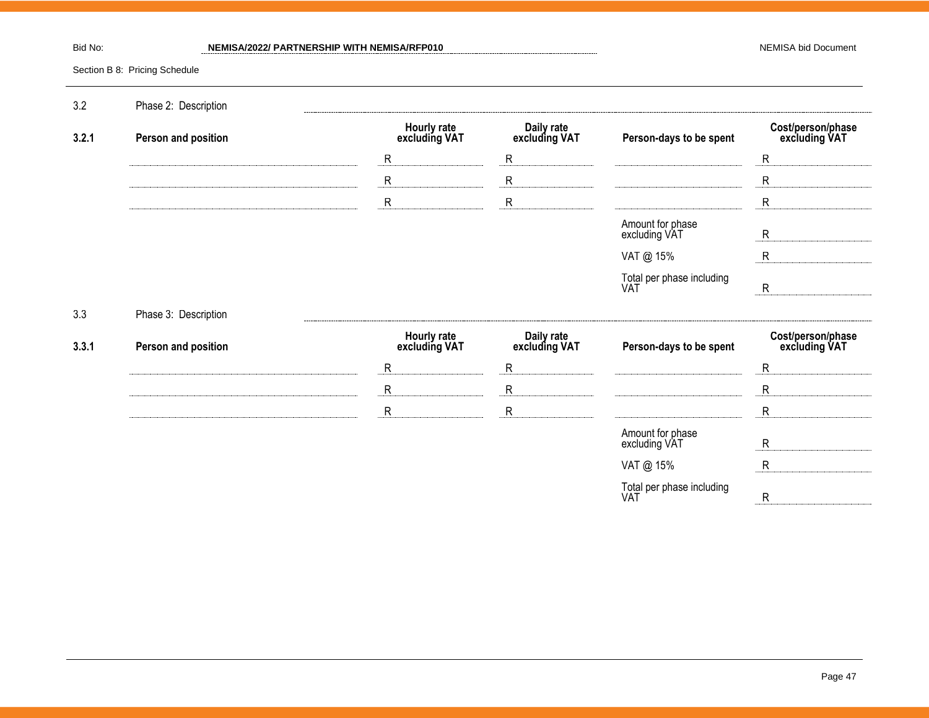#### Bid No: **NEMISA/2022/ PARTNERSHIP WITH NEMISA/RFP010** Bid Not and the MEMISA bid Document

Section B 8: Pricing Schedule

| 3.2   | Phase 2: Description |                              |                             |                                   |                                    |
|-------|----------------------|------------------------------|-----------------------------|-----------------------------------|------------------------------------|
| 3.2.1 | Person and position  | Hourly rate<br>excluding VAT | Daily rate<br>excluding VAT | Person-days to be spent           | Cost/person/phase<br>excluding VAT |
|       |                      | ${\sf R}$                    | $\mathsf{R}$                |                                   | ${\sf R}$                          |
|       |                      | $\mathsf{R}$                 | $\mathsf{R}$                |                                   | R                                  |
|       |                      | $\mathsf{R}$                 | $\mathsf{R}$                |                                   | R                                  |
|       |                      |                              |                             | Amount for phase<br>excluding VAT | $\mathsf{R}$                       |
|       |                      |                              |                             | VAT @ 15%                         | $\mathsf{R}$                       |
|       |                      |                              |                             | Total per phase including<br>VAT  | $\mathsf{R}$                       |
| 3.3   | Phase 3: Description |                              |                             |                                   |                                    |
|       |                      |                              |                             |                                   |                                    |
| 3.3.1 | Person and position  | Hourly rate<br>excluding VAT | Daily rate<br>excluding VAT | Person-days to be spent           | Cost/person/phase<br>excluding VAT |
|       |                      | ${\sf R}$                    | $\mathsf{R}$                |                                   | $\mathsf{R}$                       |
|       |                      | ${\sf R}$                    | $\mathsf{R}$                |                                   | $\mathsf{R}$                       |
|       |                      | ${\sf R}$                    | $\mathsf{R}$                |                                   | $\mathsf{R}$                       |
|       |                      |                              |                             | Amount for phase<br>excluding VAT | $\mathsf{R}$                       |
|       |                      |                              |                             | VAT @ 15%                         | $\mathsf{R}$                       |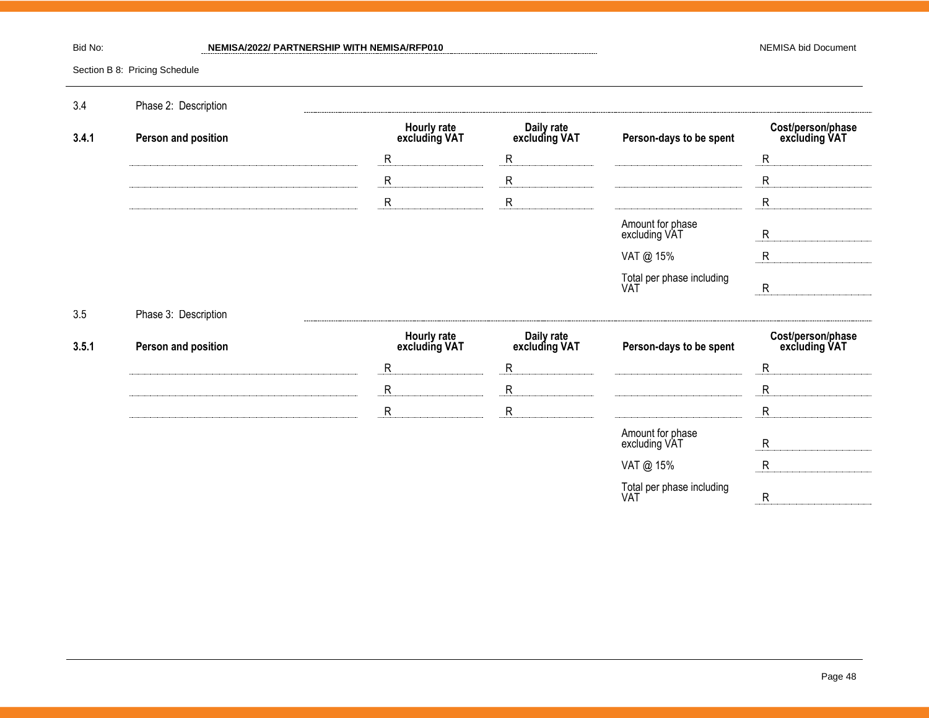#### Bid No: **NEMISA/2022/ PARTNERSHIP WITH NEMISA/RFP010** Bid Not and the MEMISA bid Document

Section B 8: Pricing Schedule

| 3.4   | Phase 2: Description |                              |                             |                                   |                                    |
|-------|----------------------|------------------------------|-----------------------------|-----------------------------------|------------------------------------|
| 3.4.1 | Person and position  | Hourly rate<br>excluding VAT | Daily rate<br>excluding VAT | Person-days to be spent           | Cost/person/phase<br>excluding VAT |
|       |                      | ${\sf R}$                    | $\mathsf{R}$                |                                   | R                                  |
|       |                      | ${\sf R}$                    | ${\sf R}$                   |                                   | $\mathsf{R}$                       |
|       |                      | ${\sf R}$                    | $\mathsf{R}$                |                                   | R                                  |
|       |                      |                              |                             | Amount for phase<br>excluding VAT | $\mathsf{R}$                       |
|       |                      |                              |                             | VAT @ 15%                         | $\mathsf{R}$                       |
|       |                      |                              |                             | Total per phase including<br>VAT  | $\mathsf{R}$                       |
|       |                      |                              |                             |                                   |                                    |
| 3.5   | Phase 3: Description |                              |                             |                                   |                                    |
| 3.5.1 | Person and position  | Hourly rate<br>excluding VAT | Daily rate<br>excluding VAT | Person-days to be spent           | Cost/person/phase<br>excluding VAT |
|       |                      | $\mathsf{R}$                 | ${\sf R}$                   |                                   | $\mathsf{R}$                       |
|       |                      | ${\sf R}$                    | $\mathsf{R}$                |                                   | R                                  |
|       |                      | ${\sf R}$                    | $\mathsf{R}$                |                                   | $\mathsf{R}$                       |
|       |                      |                              |                             | Amount for phase<br>excluding VAT | $\mathsf{R}$                       |
|       |                      |                              |                             | VAT @ 15%                         | $\mathsf{R}$                       |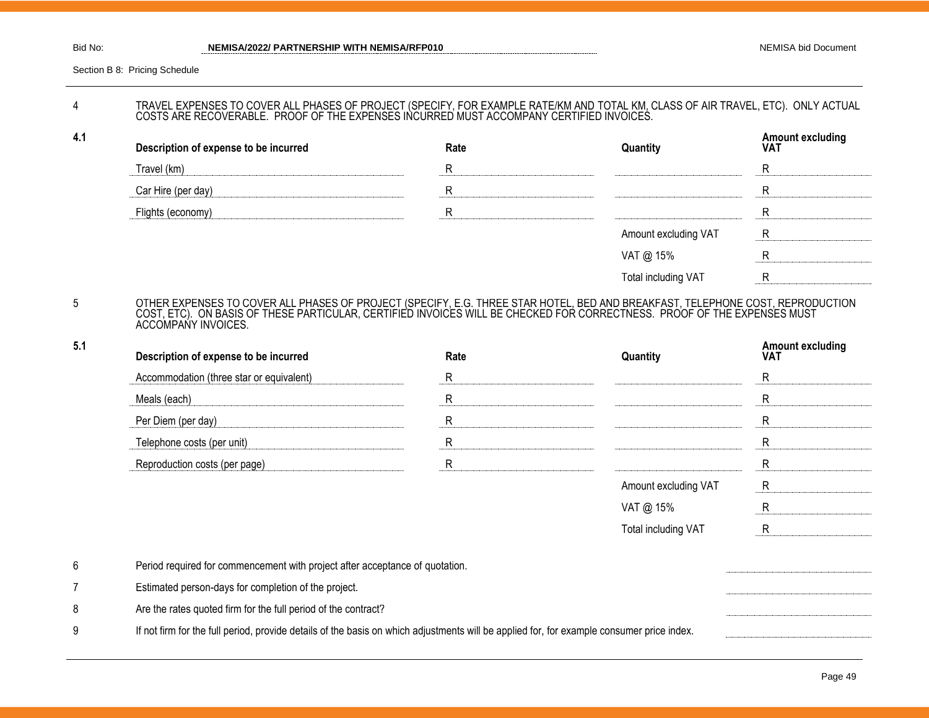**4.1**

Section B 8: Pricing Schedule

#### 4 TRAVEL EXPENSES TO COVER ALL PHASES OF PROJECT (SPECIFY, FOR EXAMPLE RATE/KM AND TOTAL KM, CLASS OF AIR TRAVEL, ETC). ONLY ACTUAL COSTS ARE RECOVERABLE. PROOF OF THE EXPENSES INCURRED MUST ACCOMPANY CERTIFIED INVOICES.

| Description of expense to be incurred | Rate | Quantity                   | <b>Amount excluding</b><br><b>VAT</b> |
|---------------------------------------|------|----------------------------|---------------------------------------|
| Travel (km)                           |      |                            |                                       |
| Car Hire (per day)                    | R    |                            |                                       |
| Flights (economy)                     |      |                            |                                       |
|                                       |      | Amount excluding VAT       |                                       |
|                                       |      | VAT @ 15%                  |                                       |
|                                       |      | <b>Total including VAT</b> |                                       |

#### 5 OTHER EXPENSES TO COVER ALL PHASES OF PROJECT (SPECIFY, E.G. THREE STAR HOTEL, BED AND BREAKFAST, TELEPHONE COST, REPRODUCTION COST, ETC). ON BASIS OF THESE PARTICULAR, CERTIFIED INVOICES WILL BE CHECKED FOR CORRECTNESS. PROOF OF THE EXPENSES MUST ACCOMPANY INVOICES.

| 5.1 | Description of expense to be incurred                                                                                                     | Rate        | Quantity             | <b>Amount excluding</b><br>VAT |
|-----|-------------------------------------------------------------------------------------------------------------------------------------------|-------------|----------------------|--------------------------------|
|     | Accommodation (three star or equivalent)                                                                                                  | R           |                      | R                              |
|     | Meals (each)                                                                                                                              | R           |                      | R                              |
|     | Per Diem (per day)                                                                                                                        | R           |                      | R                              |
|     | Telephone costs (per unit)                                                                                                                | $\mathsf R$ |                      | R                              |
|     | Reproduction costs (per page)                                                                                                             | R           |                      | $\mathsf{R}$                   |
|     |                                                                                                                                           |             | Amount excluding VAT | R.                             |
|     |                                                                                                                                           |             | VAT @ 15%            | R                              |
|     |                                                                                                                                           |             | Total including VAT  | R                              |
| 6   | Period required for commencement with project after acceptance of quotation.                                                              |             |                      |                                |
| 7   | Estimated person-days for completion of the project.                                                                                      |             |                      |                                |
| 8   | Are the rates quoted firm for the full period of the contract?                                                                            |             |                      |                                |
| 9   | If not firm for the full period, provide details of the basis on which adjustments will be applied for, for example consumer price index. |             |                      |                                |